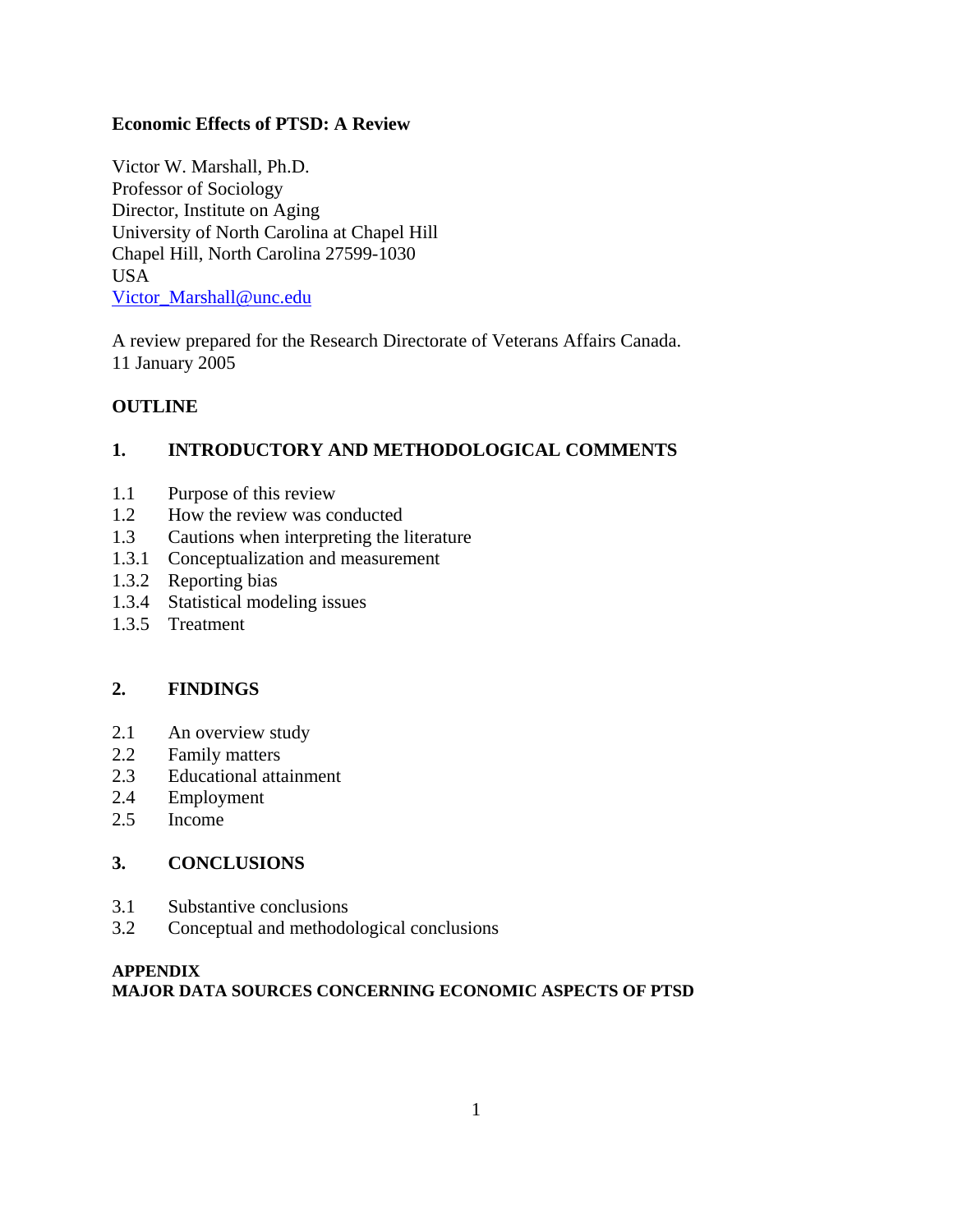# **Economic Effects of PTSD: A Review**

Victor W. Marshall, Ph.D. Professor of Sociology Director, Institute on Aging University of North Carolina at Chapel Hill Chapel Hill, North Carolina 27599-1030 USA Victor\_Marshall@unc.edu

A review prepared for the Research Directorate of Veterans Affairs Canada. 11 January 2005

# **OUTLINE**

# **1. INTRODUCTORY AND METHODOLOGICAL COMMENTS**

- 1.1 Purpose of this review
- 1.2 How the review was conducted
- 1.3 Cautions when interpreting the literature
- 1.3.1 Conceptualization and measurement
- 1.3.2 Reporting bias
- 1.3.4 Statistical modeling issues
- 1.3.5 Treatment

# **2. FINDINGS**

- 2.1 An overview study
- 2.2 Family matters
- 2.3 Educational attainment
- 2.4 Employment
- 2.5 Income

# **3. CONCLUSIONS**

- 3.1 Substantive conclusions
- 3.2 Conceptual and methodological conclusions

# **APPENDIX MAJOR DATA SOURCES CONCERNING ECONOMIC ASPECTS OF PTSD**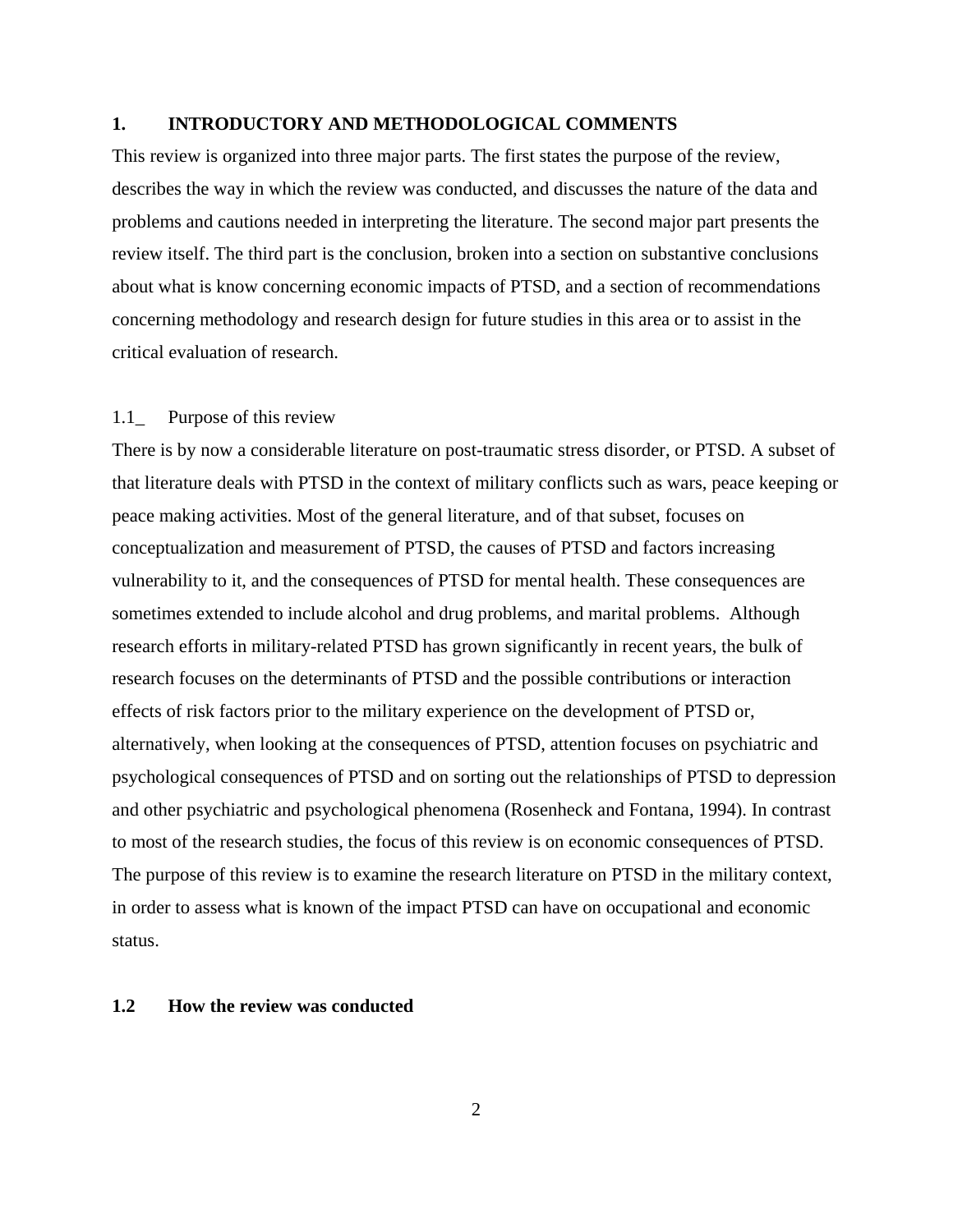### **1. INTRODUCTORY AND METHODOLOGICAL COMMENTS**

This review is organized into three major parts. The first states the purpose of the review, describes the way in which the review was conducted, and discusses the nature of the data and problems and cautions needed in interpreting the literature. The second major part presents the review itself. The third part is the conclusion, broken into a section on substantive conclusions about what is know concerning economic impacts of PTSD, and a section of recommendations concerning methodology and research design for future studies in this area or to assist in the critical evaluation of research.

#### 1.1\_ Purpose of this review

There is by now a considerable literature on post-traumatic stress disorder, or PTSD. A subset of that literature deals with PTSD in the context of military conflicts such as wars, peace keeping or peace making activities. Most of the general literature, and of that subset, focuses on conceptualization and measurement of PTSD, the causes of PTSD and factors increasing vulnerability to it, and the consequences of PTSD for mental health. These consequences are sometimes extended to include alcohol and drug problems, and marital problems. Although research efforts in military-related PTSD has grown significantly in recent years, the bulk of research focuses on the determinants of PTSD and the possible contributions or interaction effects of risk factors prior to the military experience on the development of PTSD or, alternatively, when looking at the consequences of PTSD, attention focuses on psychiatric and psychological consequences of PTSD and on sorting out the relationships of PTSD to depression and other psychiatric and psychological phenomena (Rosenheck and Fontana, 1994). In contrast to most of the research studies, the focus of this review is on economic consequences of PTSD. The purpose of this review is to examine the research literature on PTSD in the military context, in order to assess what is known of the impact PTSD can have on occupational and economic status.

### **1.2 How the review was conducted**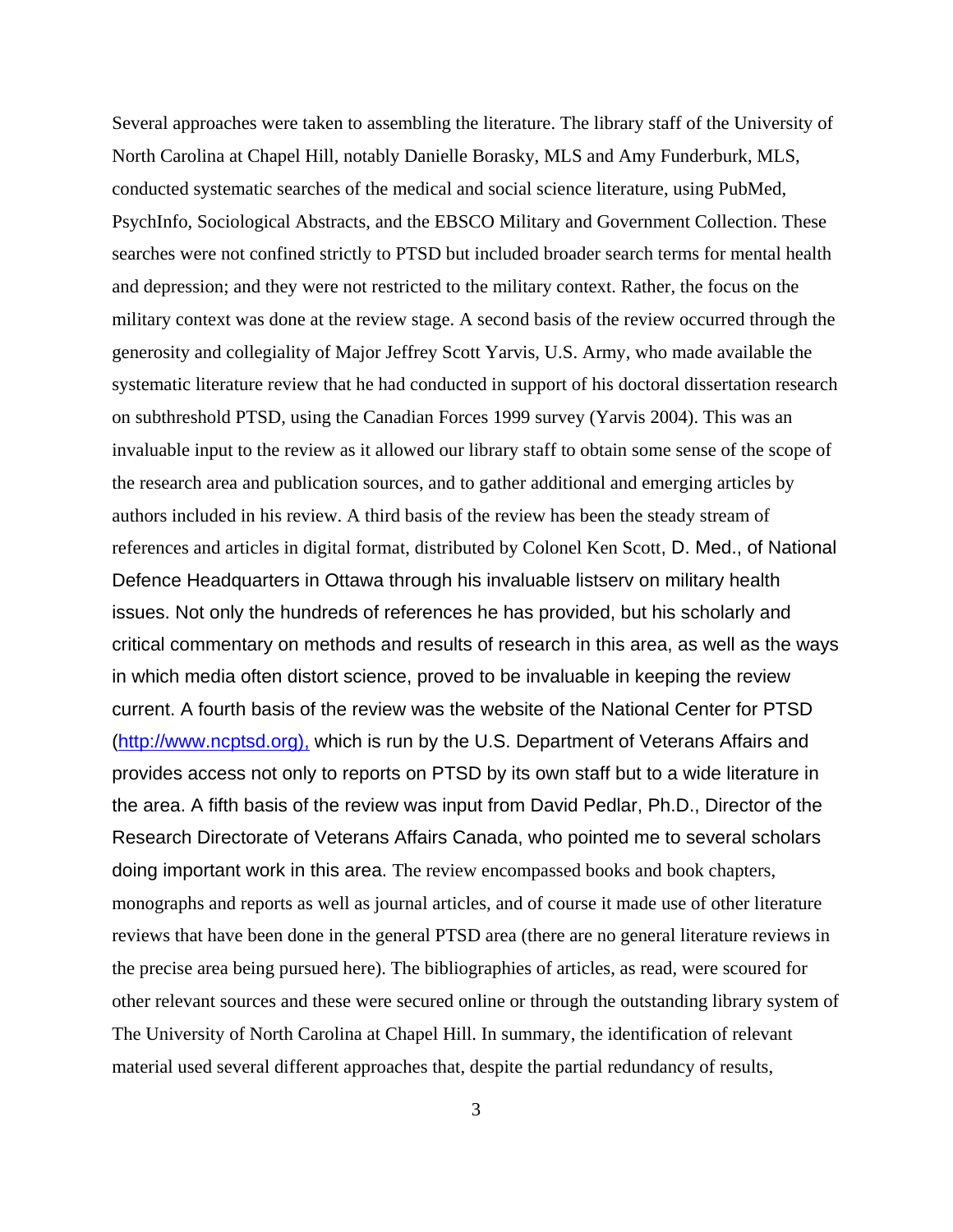Several approaches were taken to assembling the literature. The library staff of the University of North Carolina at Chapel Hill, notably Danielle Borasky, MLS and Amy Funderburk, MLS, conducted systematic searches of the medical and social science literature, using PubMed, PsychInfo, Sociological Abstracts, and the EBSCO Military and Government Collection. These searches were not confined strictly to PTSD but included broader search terms for mental health and depression; and they were not restricted to the military context. Rather, the focus on the military context was done at the review stage. A second basis of the review occurred through the generosity and collegiality of Major Jeffrey Scott Yarvis, U.S. Army, who made available the systematic literature review that he had conducted in support of his doctoral dissertation research on subthreshold PTSD, using the Canadian Forces 1999 survey (Yarvis 2004). This was an invaluable input to the review as it allowed our library staff to obtain some sense of the scope of the research area and publication sources, and to gather additional and emerging articles by authors included in his review. A third basis of the review has been the steady stream of references and articles in digital format, distributed by Colonel Ken Scott, D. Med., of National Defence Headquarters in Ottawa through his invaluable listserv on military health issues. Not only the hundreds of references he has provided, but his scholarly and critical commentary on methods and results of research in this area, as well as the ways in which media often distort science, proved to be invaluable in keeping the review current. A fourth basis of the review was the website of the National Center for PTSD (http://www.ncptsd.org), which is run by the U.S. Department of Veterans Affairs and provides access not only to reports on PTSD by its own staff but to a wide literature in the area. A fifth basis of the review was input from David Pedlar, Ph.D., Director of the Research Directorate of Veterans Affairs Canada, who pointed me to several scholars doing important work in this area. The review encompassed books and book chapters, monographs and reports as well as journal articles, and of course it made use of other literature reviews that have been done in the general PTSD area (there are no general literature reviews in the precise area being pursued here). The bibliographies of articles, as read, were scoured for other relevant sources and these were secured online or through the outstanding library system of The University of North Carolina at Chapel Hill. In summary, the identification of relevant material used several different approaches that, despite the partial redundancy of results,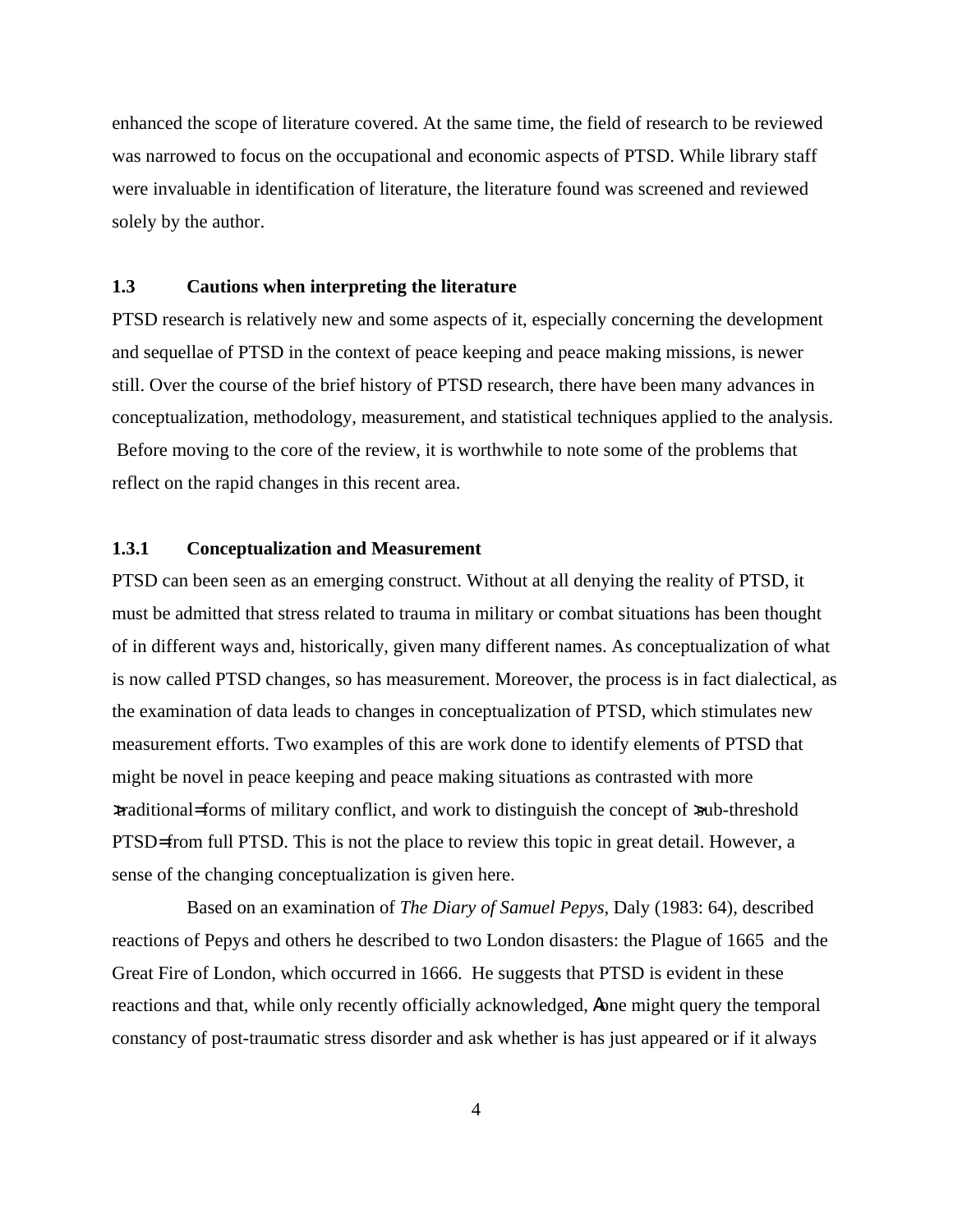enhanced the scope of literature covered. At the same time, the field of research to be reviewed was narrowed to focus on the occupational and economic aspects of PTSD. While library staff were invaluable in identification of literature, the literature found was screened and reviewed solely by the author.

# **1.3 Cautions when interpreting the literature**

PTSD research is relatively new and some aspects of it, especially concerning the development and sequellae of PTSD in the context of peace keeping and peace making missions, is newer still. Over the course of the brief history of PTSD research, there have been many advances in conceptualization, methodology, measurement, and statistical techniques applied to the analysis. Before moving to the core of the review, it is worthwhile to note some of the problems that reflect on the rapid changes in this recent area.

# **1.3.1 Conceptualization and Measurement**

PTSD can been seen as an emerging construct. Without at all denying the reality of PTSD, it must be admitted that stress related to trauma in military or combat situations has been thought of in different ways and, historically, given many different names. As conceptualization of what is now called PTSD changes, so has measurement. Moreover, the process is in fact dialectical, as the examination of data leads to changes in conceptualization of PTSD, which stimulates new measurement efforts. Two examples of this are work done to identify elements of PTSD that might be novel in peace keeping and peace making situations as contrasted with more >traditional= forms of military conflict, and work to distinguish the concept of >sub-threshold PTSD= from full PTSD. This is not the place to review this topic in great detail. However, a sense of the changing conceptualization is given here.

Based on an examination of *The Diary of Samuel Pepys*, Daly (1983: 64), described reactions of Pepys and others he described to two London disasters: the Plague of 1665 and the Great Fire of London, which occurred in 1666. He suggests that PTSD is evident in these reactions and that, while only recently officially acknowledged, Aone might query the temporal constancy of post-traumatic stress disorder and ask whether is has just appeared or if it always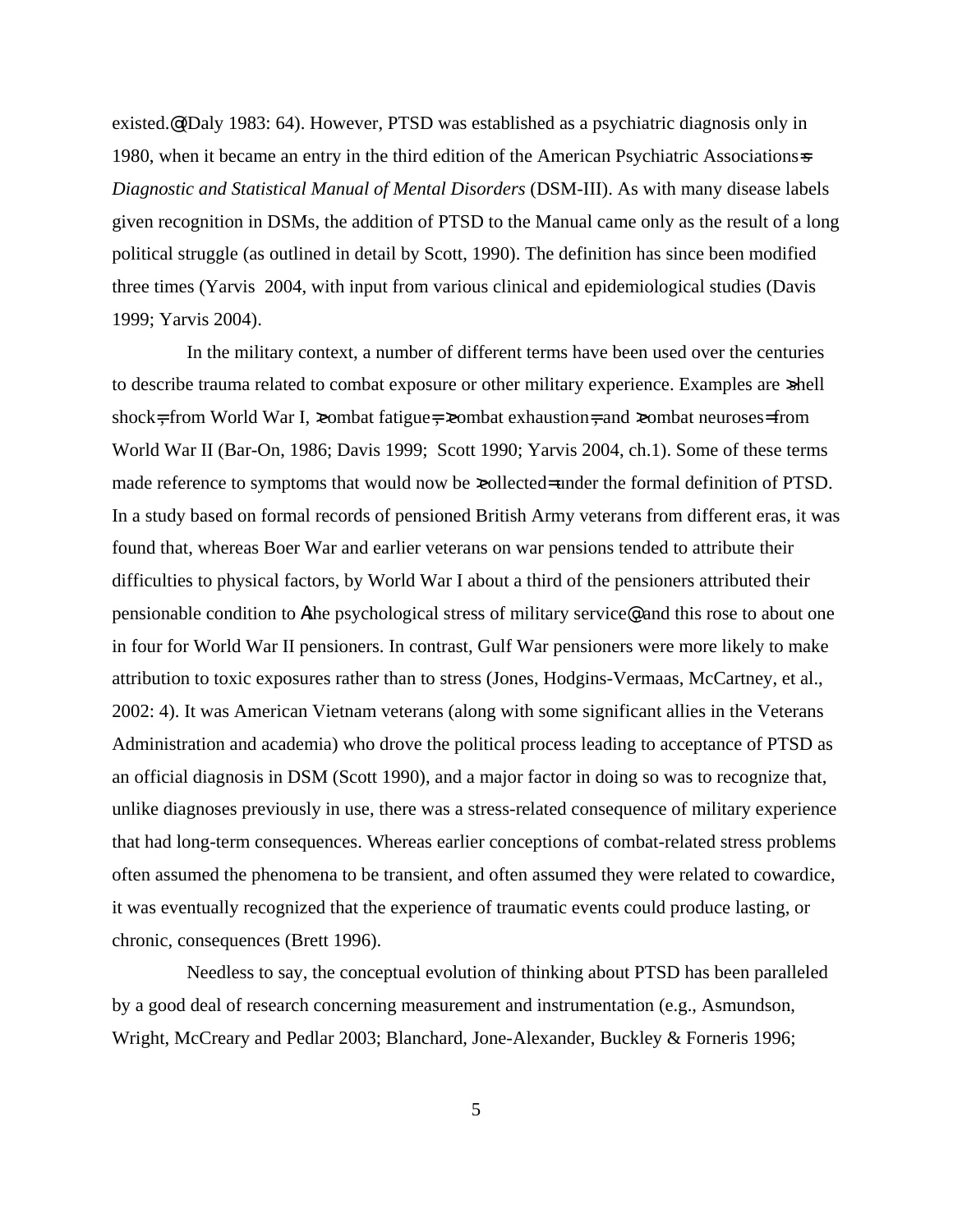existed.@ (Daly 1983: 64). However, PTSD was established as a psychiatric diagnosis only in 1980, when it became an entry in the third edition of the American Psychiatric Associations=s *Diagnostic and Statistical Manual of Mental Disorders* (DSM-III). As with many disease labels given recognition in DSMs, the addition of PTSD to the Manual came only as the result of a long political struggle (as outlined in detail by Scott, 1990). The definition has since been modified three times (Yarvis 2004, with input from various clinical and epidemiological studies (Davis 1999; Yarvis 2004).

In the military context, a number of different terms have been used over the centuries to describe trauma related to combat exposure or other military experience. Examples are  $\text{shell}$ shock=, from World War I,  $x$ ombat fatigue=,  $x$ ombat exhaustion=, and  $x$ ombat neuroses= from World War II (Bar-On, 1986; Davis 1999; Scott 1990; Yarvis 2004, ch.1). Some of these terms made reference to symptoms that would now be  $\infty$ ollected= under the formal definition of PTSD. In a study based on formal records of pensioned British Army veterans from different eras, it was found that, whereas Boer War and earlier veterans on war pensions tended to attribute their difficulties to physical factors, by World War I about a third of the pensioners attributed their pensionable condition to Athe psychological stress of military service@, and this rose to about one in four for World War II pensioners. In contrast, Gulf War pensioners were more likely to make attribution to toxic exposures rather than to stress (Jones, Hodgins-Vermaas, McCartney, et al., 2002: 4). It was American Vietnam veterans (along with some significant allies in the Veterans Administration and academia) who drove the political process leading to acceptance of PTSD as an official diagnosis in DSM (Scott 1990), and a major factor in doing so was to recognize that, unlike diagnoses previously in use, there was a stress-related consequence of military experience that had long-term consequences. Whereas earlier conceptions of combat-related stress problems often assumed the phenomena to be transient, and often assumed they were related to cowardice, it was eventually recognized that the experience of traumatic events could produce lasting, or chronic, consequences (Brett 1996).

Needless to say, the conceptual evolution of thinking about PTSD has been paralleled by a good deal of research concerning measurement and instrumentation (e.g., Asmundson, Wright, McCreary and Pedlar 2003; Blanchard, Jone-Alexander, Buckley & Forneris 1996;

5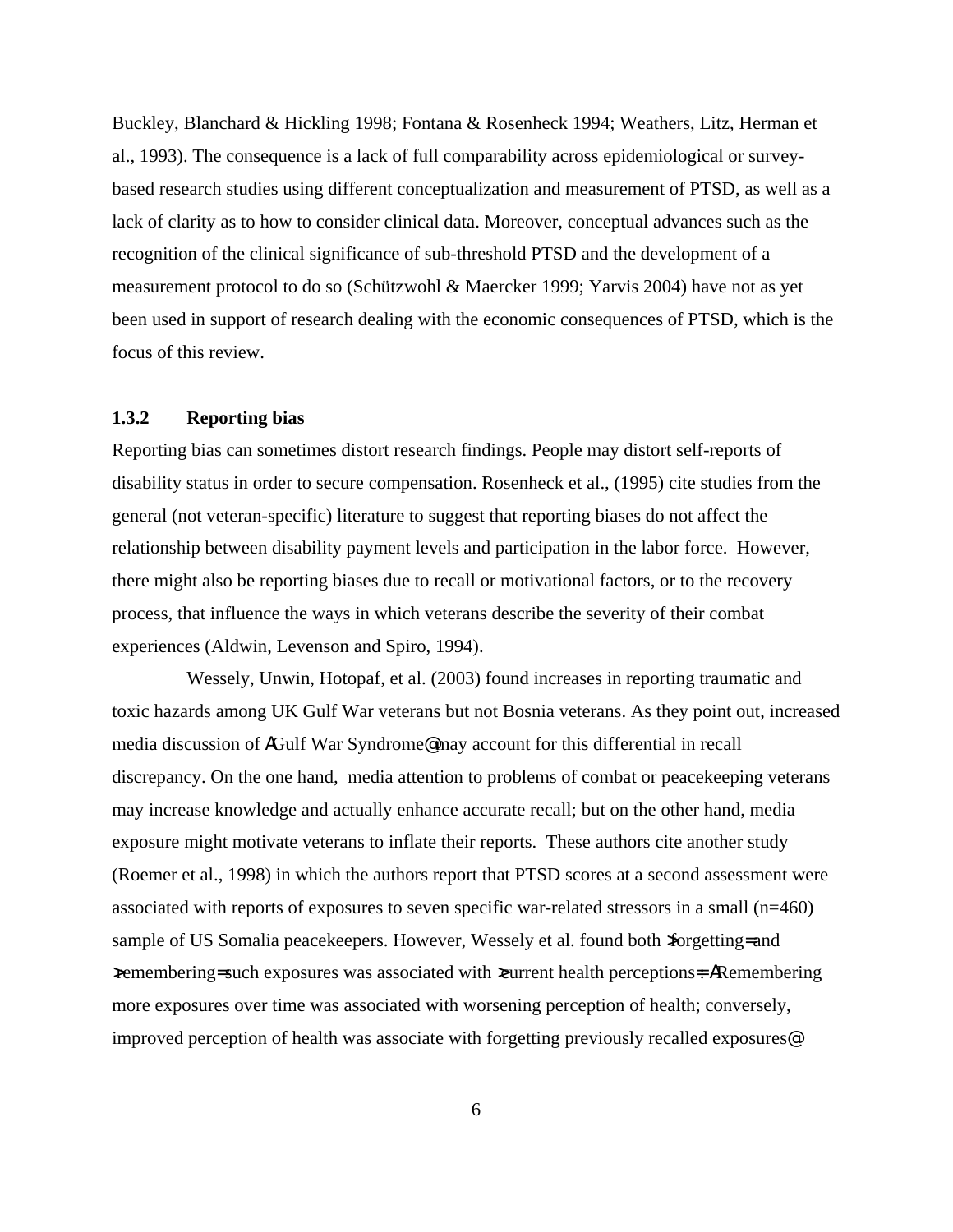Buckley, Blanchard & Hickling 1998; Fontana & Rosenheck 1994; Weathers, Litz, Herman et al., 1993). The consequence is a lack of full comparability across epidemiological or surveybased research studies using different conceptualization and measurement of PTSD, as well as a lack of clarity as to how to consider clinical data. Moreover, conceptual advances such as the recognition of the clinical significance of sub-threshold PTSD and the development of a measurement protocol to do so (Schützwohl & Maercker 1999; Yarvis 2004) have not as yet been used in support of research dealing with the economic consequences of PTSD, which is the focus of this review.

### **1.3.2 Reporting bias**

Reporting bias can sometimes distort research findings. People may distort self-reports of disability status in order to secure compensation. Rosenheck et al., (1995) cite studies from the general (not veteran-specific) literature to suggest that reporting biases do not affect the relationship between disability payment levels and participation in the labor force. However, there might also be reporting biases due to recall or motivational factors, or to the recovery process, that influence the ways in which veterans describe the severity of their combat experiences (Aldwin, Levenson and Spiro, 1994).

Wessely, Unwin, Hotopaf, et al. (2003) found increases in reporting traumatic and toxic hazards among UK Gulf War veterans but not Bosnia veterans. As they point out, increased media discussion of AGulf War Syndrome@ may account for this differential in recall discrepancy. On the one hand, media attention to problems of combat or peacekeeping veterans may increase knowledge and actually enhance accurate recall; but on the other hand, media exposure might motivate veterans to inflate their reports. These authors cite another study (Roemer et al., 1998) in which the authors report that PTSD scores at a second assessment were associated with reports of exposures to seven specific war-related stressors in a small (n=460) sample of US Somalia peacekeepers. However, Wessely et al. found both  $\pi$ orgetting= and >remembering= such exposures was associated with >current health perceptions=: ARemembering more exposures over time was associated with worsening perception of health; conversely, improved perception of health was associate with forgetting previously recalled exposures@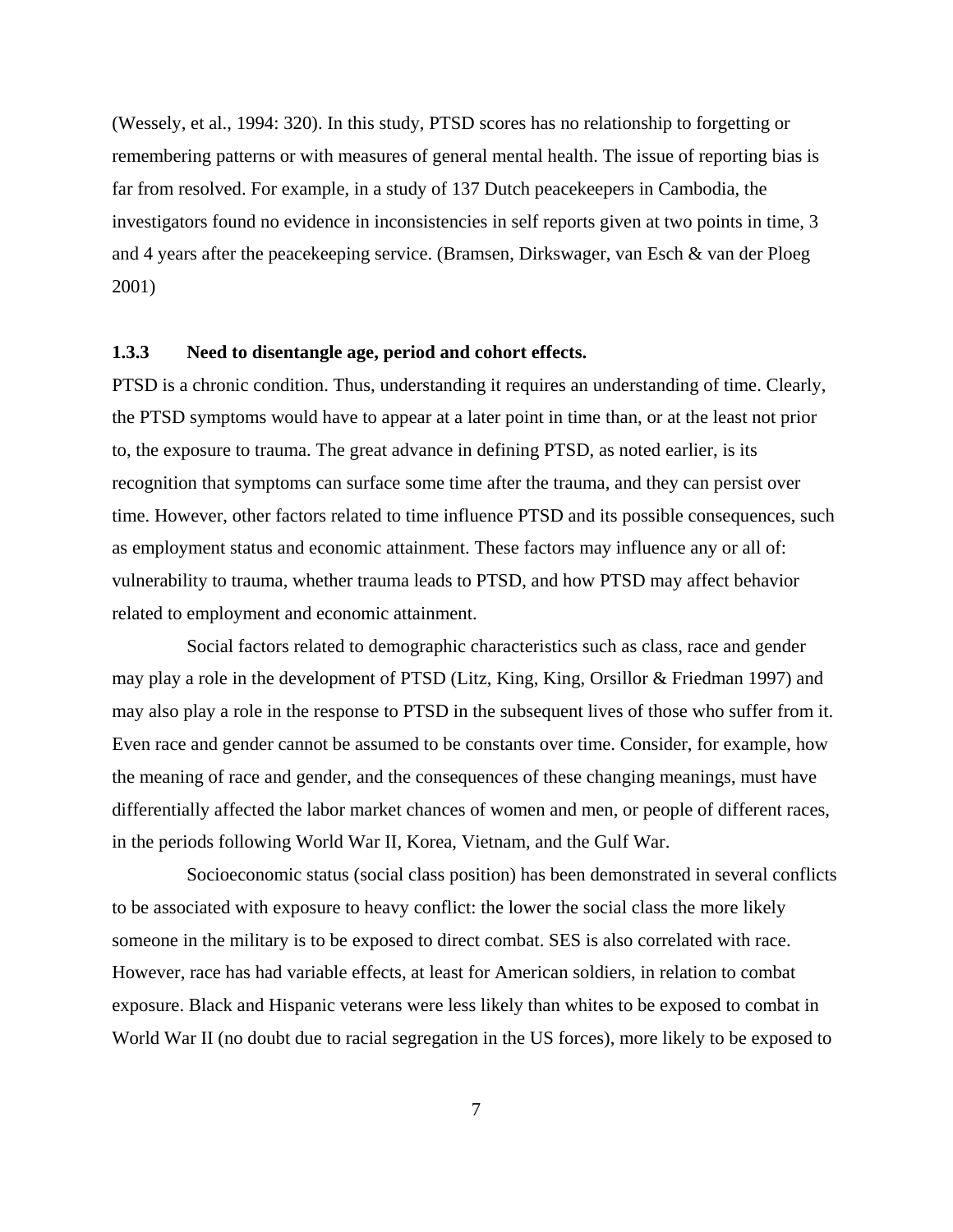(Wessely, et al., 1994: 320). In this study, PTSD scores has no relationship to forgetting or remembering patterns or with measures of general mental health. The issue of reporting bias is far from resolved. For example, in a study of 137 Dutch peacekeepers in Cambodia, the investigators found no evidence in inconsistencies in self reports given at two points in time, 3 and 4 years after the peacekeeping service. (Bramsen, Dirkswager, van Esch & van der Ploeg 2001)

### **1.3.3 Need to disentangle age, period and cohort effects.**

PTSD is a chronic condition. Thus, understanding it requires an understanding of time. Clearly, the PTSD symptoms would have to appear at a later point in time than, or at the least not prior to, the exposure to trauma. The great advance in defining PTSD, as noted earlier, is its recognition that symptoms can surface some time after the trauma, and they can persist over time. However, other factors related to time influence PTSD and its possible consequences, such as employment status and economic attainment. These factors may influence any or all of: vulnerability to trauma, whether trauma leads to PTSD, and how PTSD may affect behavior related to employment and economic attainment.

Social factors related to demographic characteristics such as class, race and gender may play a role in the development of PTSD (Litz, King, King, Orsillor & Friedman 1997) and may also play a role in the response to PTSD in the subsequent lives of those who suffer from it. Even race and gender cannot be assumed to be constants over time. Consider, for example, how the meaning of race and gender, and the consequences of these changing meanings, must have differentially affected the labor market chances of women and men, or people of different races, in the periods following World War II, Korea, Vietnam, and the Gulf War.

Socioeconomic status (social class position) has been demonstrated in several conflicts to be associated with exposure to heavy conflict: the lower the social class the more likely someone in the military is to be exposed to direct combat. SES is also correlated with race. However, race has had variable effects, at least for American soldiers, in relation to combat exposure. Black and Hispanic veterans were less likely than whites to be exposed to combat in World War II (no doubt due to racial segregation in the US forces), more likely to be exposed to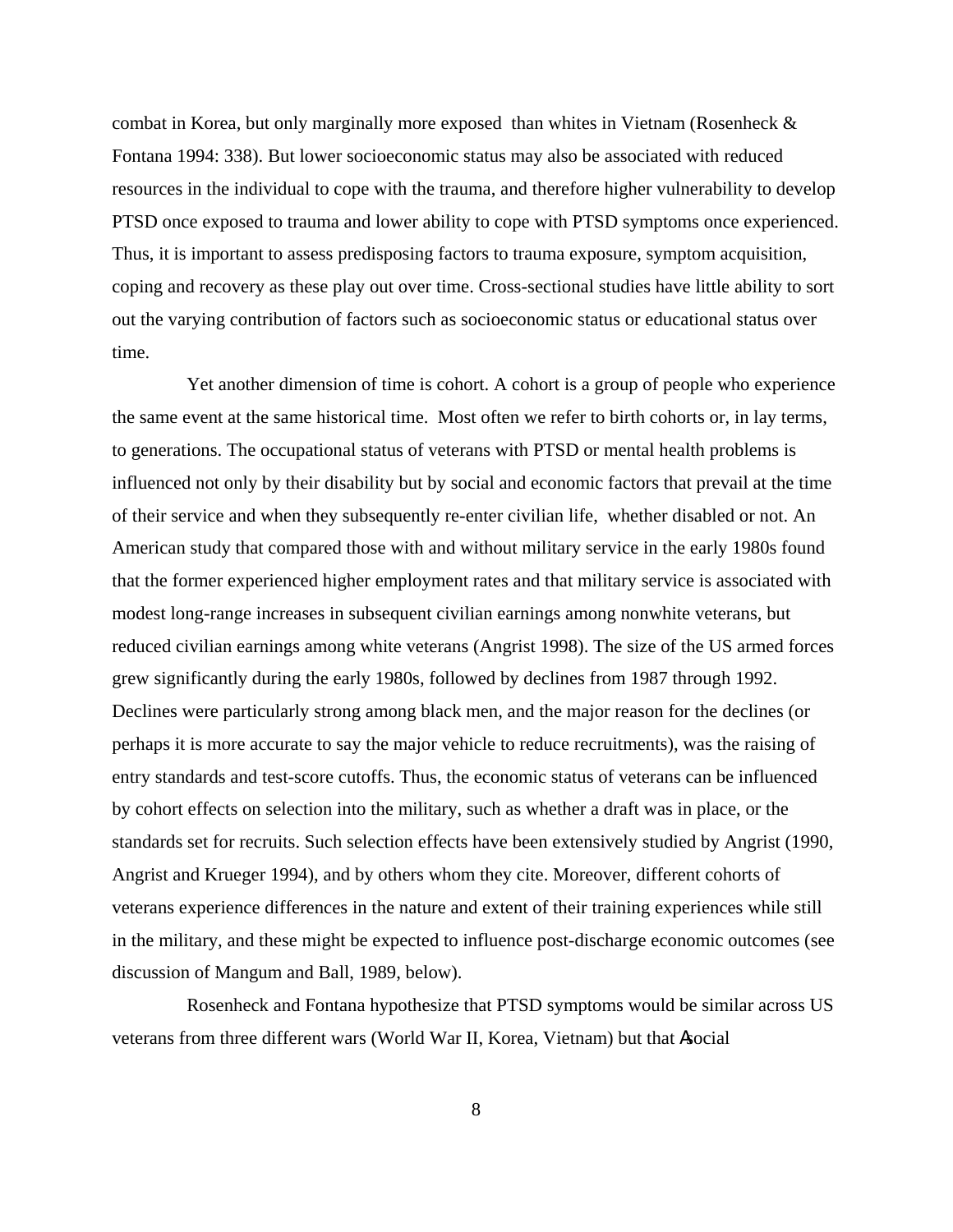combat in Korea, but only marginally more exposed than whites in Vietnam (Rosenheck & Fontana 1994: 338). But lower socioeconomic status may also be associated with reduced resources in the individual to cope with the trauma, and therefore higher vulnerability to develop PTSD once exposed to trauma and lower ability to cope with PTSD symptoms once experienced. Thus, it is important to assess predisposing factors to trauma exposure, symptom acquisition, coping and recovery as these play out over time. Cross-sectional studies have little ability to sort out the varying contribution of factors such as socioeconomic status or educational status over time.

Yet another dimension of time is cohort. A cohort is a group of people who experience the same event at the same historical time. Most often we refer to birth cohorts or, in lay terms, to generations. The occupational status of veterans with PTSD or mental health problems is influenced not only by their disability but by social and economic factors that prevail at the time of their service and when they subsequently re-enter civilian life, whether disabled or not. An American study that compared those with and without military service in the early 1980s found that the former experienced higher employment rates and that military service is associated with modest long-range increases in subsequent civilian earnings among nonwhite veterans, but reduced civilian earnings among white veterans (Angrist 1998). The size of the US armed forces grew significantly during the early 1980s, followed by declines from 1987 through 1992. Declines were particularly strong among black men, and the major reason for the declines (or perhaps it is more accurate to say the major vehicle to reduce recruitments), was the raising of entry standards and test-score cutoffs. Thus, the economic status of veterans can be influenced by cohort effects on selection into the military, such as whether a draft was in place, or the standards set for recruits. Such selection effects have been extensively studied by Angrist (1990, Angrist and Krueger 1994), and by others whom they cite. Moreover, different cohorts of veterans experience differences in the nature and extent of their training experiences while still in the military, and these might be expected to influence post-discharge economic outcomes (see discussion of Mangum and Ball, 1989, below).

Rosenheck and Fontana hypothesize that PTSD symptoms would be similar across US veterans from three different wars (World War II, Korea, Vietnam) but that Asocial

8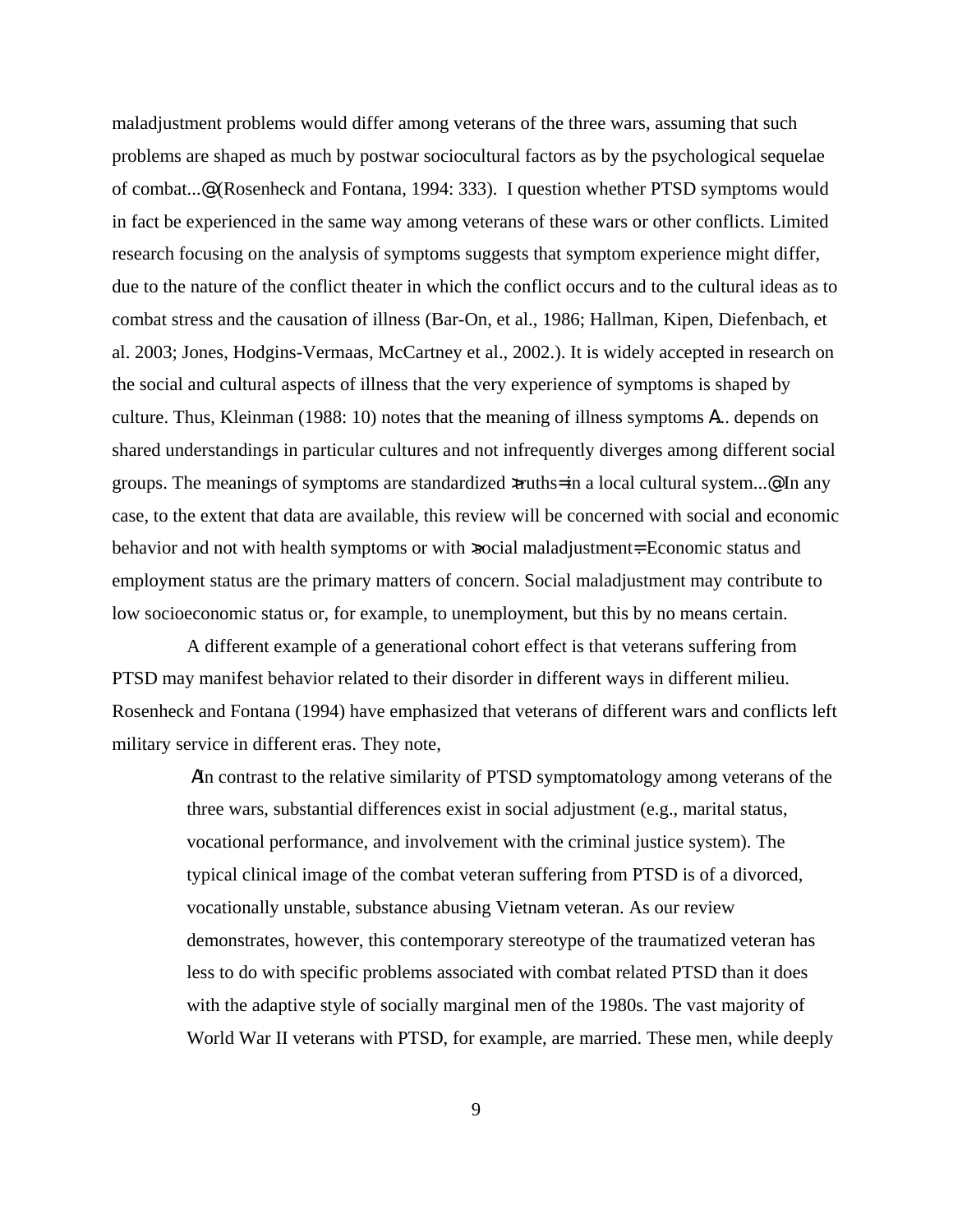maladjustment problems would differ among veterans of the three wars, assuming that such problems are shaped as much by postwar sociocultural factors as by the psychological sequelae of combat...@ (Rosenheck and Fontana, 1994: 333). I question whether PTSD symptoms would in fact be experienced in the same way among veterans of these wars or other conflicts. Limited research focusing on the analysis of symptoms suggests that symptom experience might differ, due to the nature of the conflict theater in which the conflict occurs and to the cultural ideas as to combat stress and the causation of illness (Bar-On, et al., 1986; Hallman, Kipen, Diefenbach, et al. 2003; Jones, Hodgins-Vermaas, McCartney et al., 2002.). It is widely accepted in research on the social and cultural aspects of illness that the very experience of symptoms is shaped by culture. Thus, Kleinman (1988: 10) notes that the meaning of illness symptoms A... depends on shared understandings in particular cultures and not infrequently diverges among different social groups. The meanings of symptoms are standardized  $x$ ruths= in a local cultural system....@. In any case, to the extent that data are available, this review will be concerned with social and economic behavior and not with health symptoms or with >social maladjustment=. Economic status and employment status are the primary matters of concern. Social maladjustment may contribute to low socioeconomic status or, for example, to unemployment, but this by no means certain.

A different example of a generational cohort effect is that veterans suffering from PTSD may manifest behavior related to their disorder in different ways in different milieu. Rosenheck and Fontana (1994) have emphasized that veterans of different wars and conflicts left military service in different eras. They note,

> AIn contrast to the relative similarity of PTSD symptomatology among veterans of the three wars, substantial differences exist in social adjustment (e.g., marital status, vocational performance, and involvement with the criminal justice system). The typical clinical image of the combat veteran suffering from PTSD is of a divorced, vocationally unstable, substance abusing Vietnam veteran. As our review demonstrates, however, this contemporary stereotype of the traumatized veteran has less to do with specific problems associated with combat related PTSD than it does with the adaptive style of socially marginal men of the 1980s. The vast majority of World War II veterans with PTSD, for example, are married. These men, while deeply

> > 9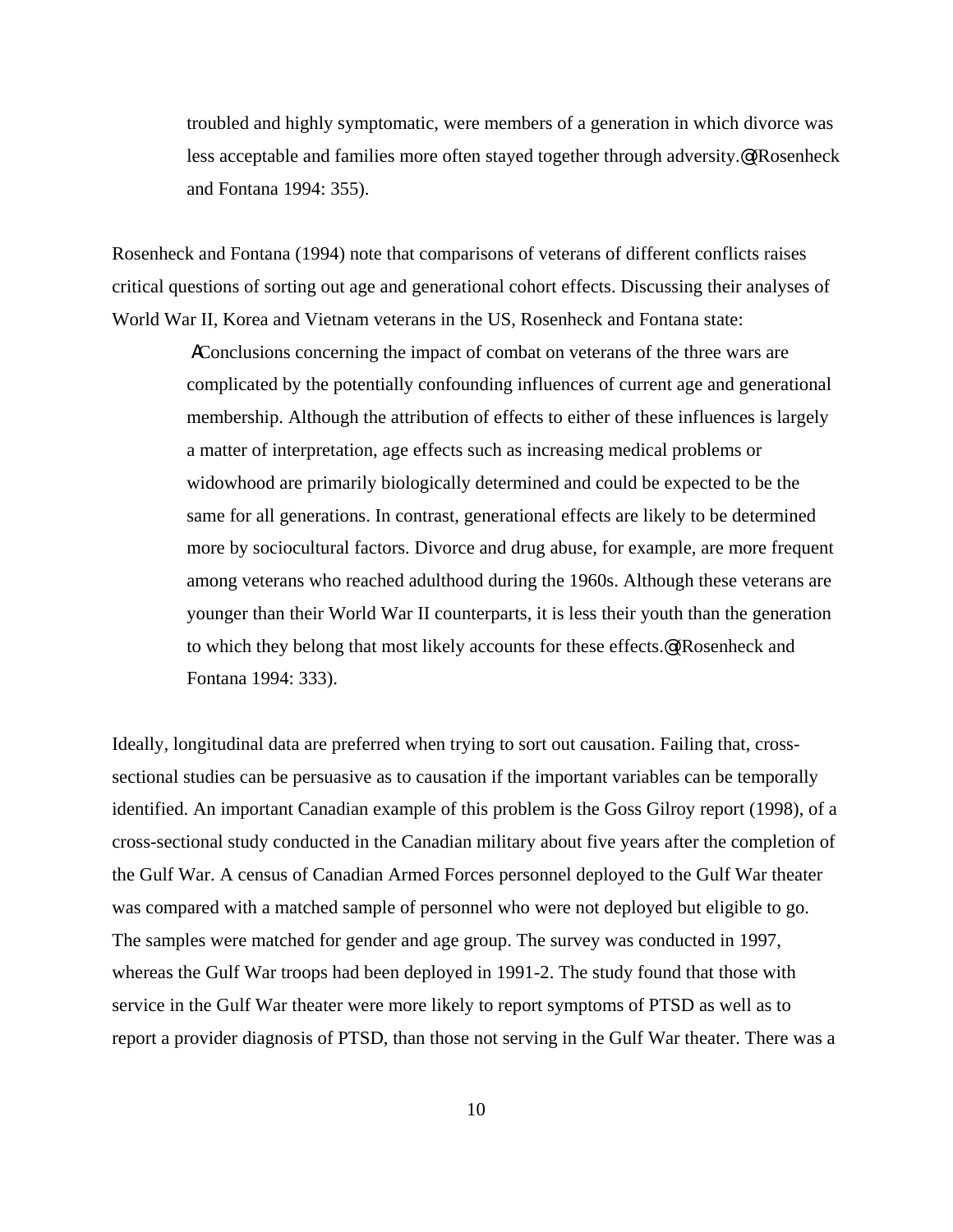troubled and highly symptomatic, were members of a generation in which divorce was less acceptable and families more often stayed together through adversity.@ (Rosenheck and Fontana 1994: 355).

Rosenheck and Fontana (1994) note that comparisons of veterans of different conflicts raises critical questions of sorting out age and generational cohort effects. Discussing their analyses of World War II, Korea and Vietnam veterans in the US, Rosenheck and Fontana state:

> AConclusions concerning the impact of combat on veterans of the three wars are complicated by the potentially confounding influences of current age and generational membership. Although the attribution of effects to either of these influences is largely a matter of interpretation, age effects such as increasing medical problems or widowhood are primarily biologically determined and could be expected to be the same for all generations. In contrast, generational effects are likely to be determined more by sociocultural factors. Divorce and drug abuse, for example, are more frequent among veterans who reached adulthood during the 1960s. Although these veterans are younger than their World War II counterparts, it is less their youth than the generation to which they belong that most likely accounts for these effects.@ (Rosenheck and Fontana 1994: 333).

Ideally, longitudinal data are preferred when trying to sort out causation. Failing that, crosssectional studies can be persuasive as to causation if the important variables can be temporally identified. An important Canadian example of this problem is the Goss Gilroy report (1998), of a cross-sectional study conducted in the Canadian military about five years after the completion of the Gulf War. A census of Canadian Armed Forces personnel deployed to the Gulf War theater was compared with a matched sample of personnel who were not deployed but eligible to go. The samples were matched for gender and age group. The survey was conducted in 1997, whereas the Gulf War troops had been deployed in 1991-2. The study found that those with service in the Gulf War theater were more likely to report symptoms of PTSD as well as to report a provider diagnosis of PTSD, than those not serving in the Gulf War theater. There was a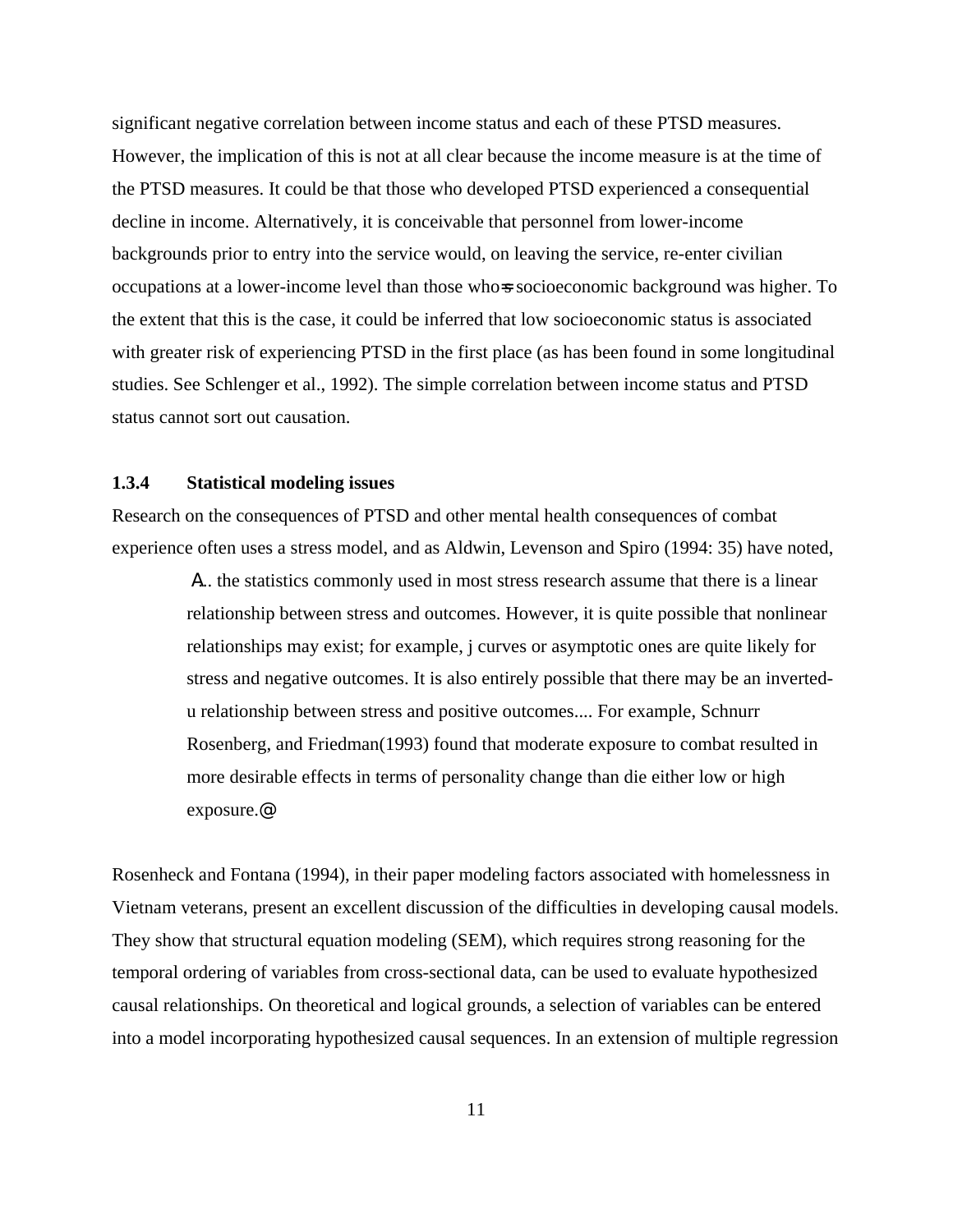significant negative correlation between income status and each of these PTSD measures. However, the implication of this is not at all clear because the income measure is at the time of the PTSD measures. It could be that those who developed PTSD experienced a consequential decline in income. Alternatively, it is conceivable that personnel from lower-income backgrounds prior to entry into the service would, on leaving the service, re-enter civilian occupations at a lower-income level than those who=s socioeconomic background was higher. To the extent that this is the case, it could be inferred that low socioeconomic status is associated with greater risk of experiencing PTSD in the first place (as has been found in some longitudinal studies. See Schlenger et al., 1992). The simple correlation between income status and PTSD status cannot sort out causation.

### **1.3.4 Statistical modeling issues**

Research on the consequences of PTSD and other mental health consequences of combat experience often uses a stress model, and as Aldwin, Levenson and Spiro (1994: 35) have noted,

> A... the statistics commonly used in most stress research assume that there is a linear relationship between stress and outcomes. However, it is quite possible that nonlinear relationships may exist; for example, j curves or asymptotic ones are quite likely for stress and negative outcomes. It is also entirely possible that there may be an invertedu relationship between stress and positive outcomes.... For example, Schnurr Rosenberg, and Friedman(1993) found that moderate exposure to combat resulted in more desirable effects in terms of personality change than die either low or high exposure.@

Rosenheck and Fontana (1994), in their paper modeling factors associated with homelessness in Vietnam veterans, present an excellent discussion of the difficulties in developing causal models. They show that structural equation modeling (SEM), which requires strong reasoning for the temporal ordering of variables from cross-sectional data, can be used to evaluate hypothesized causal relationships. On theoretical and logical grounds, a selection of variables can be entered into a model incorporating hypothesized causal sequences. In an extension of multiple regression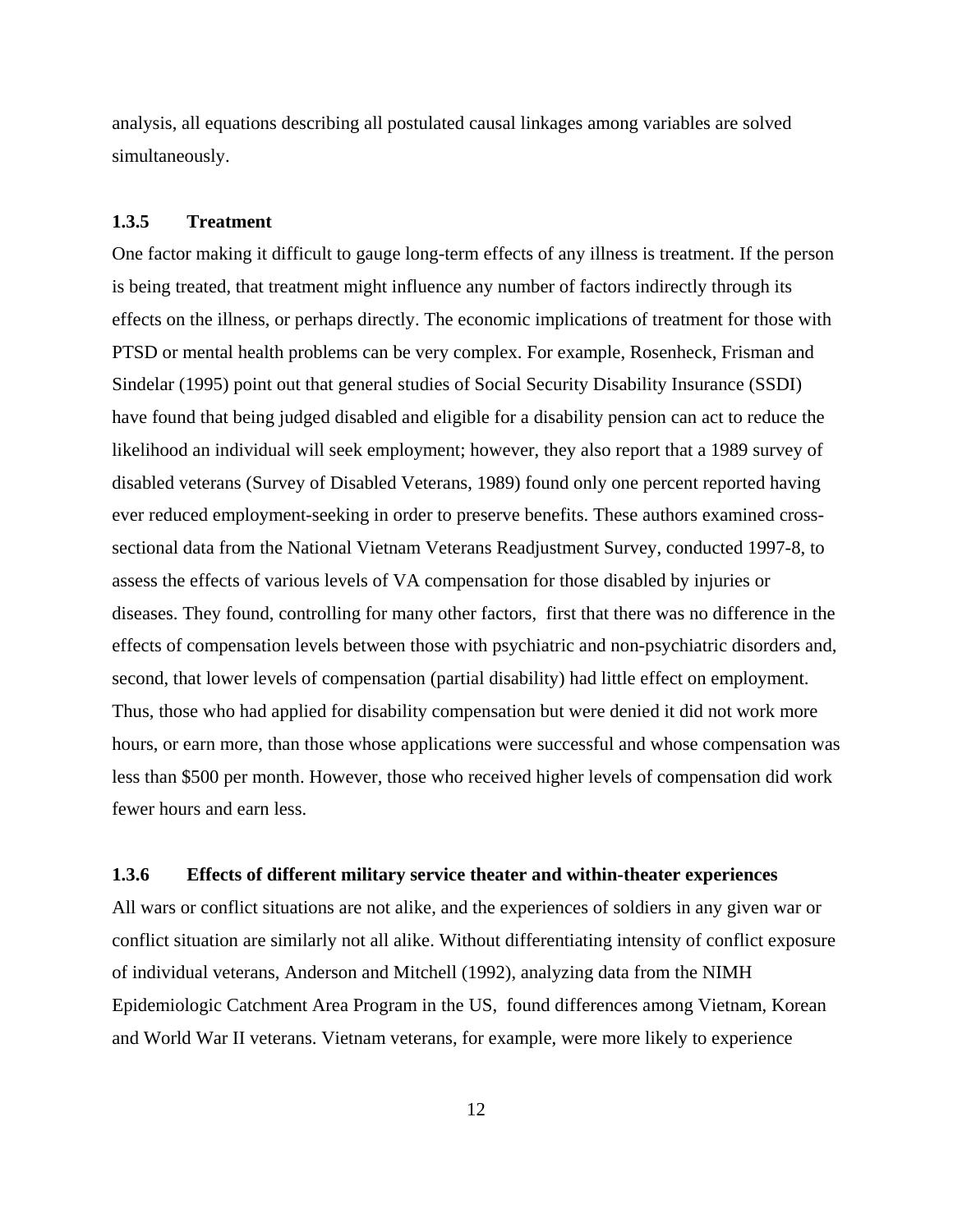analysis, all equations describing all postulated causal linkages among variables are solved simultaneously.

### **1.3.5 Treatment**

One factor making it difficult to gauge long-term effects of any illness is treatment. If the person is being treated, that treatment might influence any number of factors indirectly through its effects on the illness, or perhaps directly. The economic implications of treatment for those with PTSD or mental health problems can be very complex. For example, Rosenheck, Frisman and Sindelar (1995) point out that general studies of Social Security Disability Insurance (SSDI) have found that being judged disabled and eligible for a disability pension can act to reduce the likelihood an individual will seek employment; however, they also report that a 1989 survey of disabled veterans (Survey of Disabled Veterans, 1989) found only one percent reported having ever reduced employment-seeking in order to preserve benefits. These authors examined crosssectional data from the National Vietnam Veterans Readjustment Survey, conducted 1997-8, to assess the effects of various levels of VA compensation for those disabled by injuries or diseases. They found, controlling for many other factors, first that there was no difference in the effects of compensation levels between those with psychiatric and non-psychiatric disorders and, second, that lower levels of compensation (partial disability) had little effect on employment. Thus, those who had applied for disability compensation but were denied it did not work more hours, or earn more, than those whose applications were successful and whose compensation was less than \$500 per month. However, those who received higher levels of compensation did work fewer hours and earn less.

#### **1.3.6 Effects of different military service theater and within-theater experiences**

All wars or conflict situations are not alike, and the experiences of soldiers in any given war or conflict situation are similarly not all alike. Without differentiating intensity of conflict exposure of individual veterans, Anderson and Mitchell (1992), analyzing data from the NIMH Epidemiologic Catchment Area Program in the US, found differences among Vietnam, Korean and World War II veterans. Vietnam veterans, for example, were more likely to experience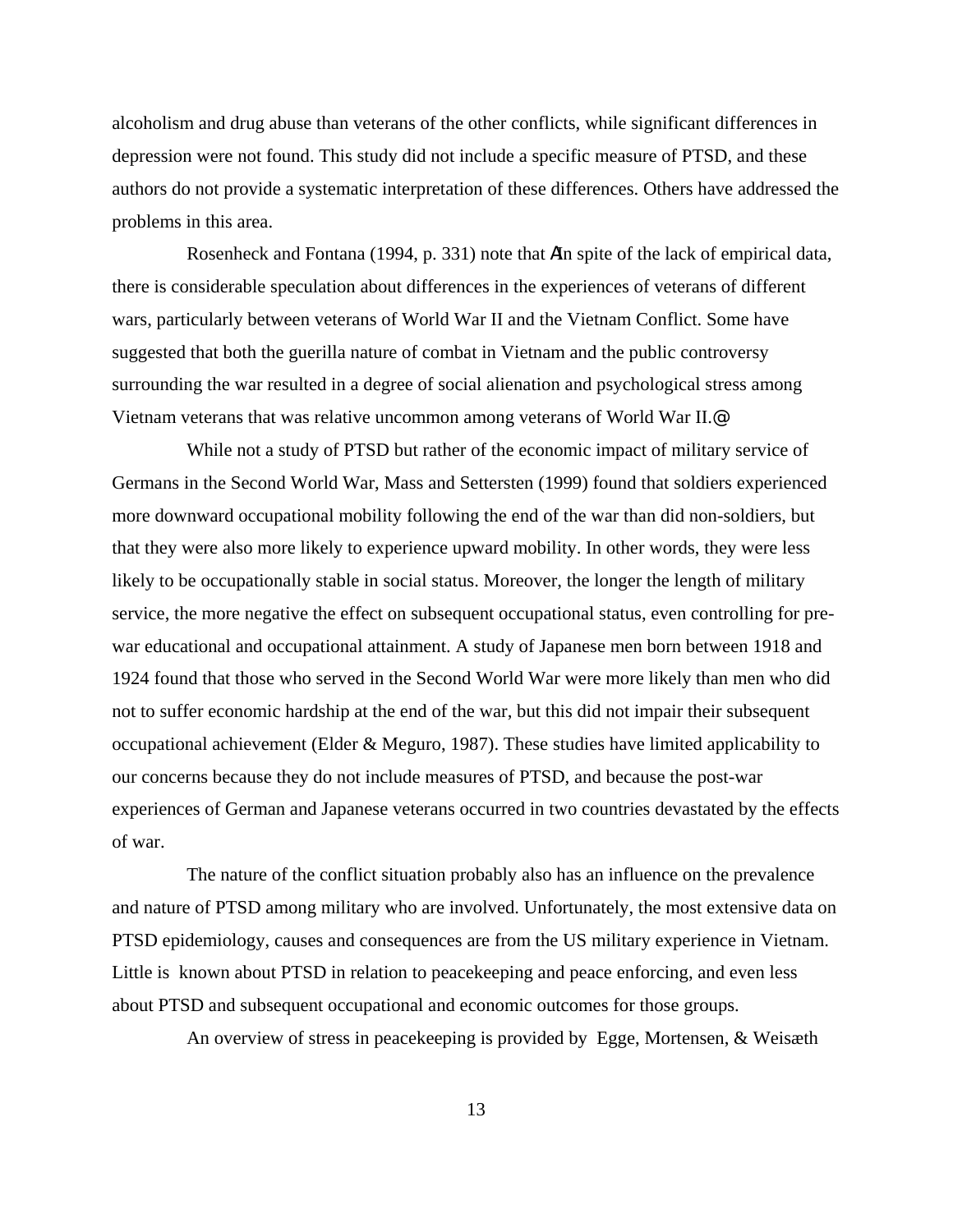alcoholism and drug abuse than veterans of the other conflicts, while significant differences in depression were not found. This study did not include a specific measure of PTSD, and these authors do not provide a systematic interpretation of these differences. Others have addressed the problems in this area.

Rosenheck and Fontana (1994, p. 331) note that AIn spite of the lack of empirical data, there is considerable speculation about differences in the experiences of veterans of different wars, particularly between veterans of World War II and the Vietnam Conflict. Some have suggested that both the guerilla nature of combat in Vietnam and the public controversy surrounding the war resulted in a degree of social alienation and psychological stress among Vietnam veterans that was relative uncommon among veterans of World War II.@

While not a study of PTSD but rather of the economic impact of military service of Germans in the Second World War, Mass and Settersten (1999) found that soldiers experienced more downward occupational mobility following the end of the war than did non-soldiers, but that they were also more likely to experience upward mobility. In other words, they were less likely to be occupationally stable in social status. Moreover, the longer the length of military service, the more negative the effect on subsequent occupational status, even controlling for prewar educational and occupational attainment. A study of Japanese men born between 1918 and 1924 found that those who served in the Second World War were more likely than men who did not to suffer economic hardship at the end of the war, but this did not impair their subsequent occupational achievement (Elder & Meguro, 1987). These studies have limited applicability to our concerns because they do not include measures of PTSD, and because the post-war experiences of German and Japanese veterans occurred in two countries devastated by the effects of war.

The nature of the conflict situation probably also has an influence on the prevalence and nature of PTSD among military who are involved. Unfortunately, the most extensive data on PTSD epidemiology, causes and consequences are from the US military experience in Vietnam. Little is known about PTSD in relation to peacekeeping and peace enforcing, and even less about PTSD and subsequent occupational and economic outcomes for those groups.

An overview of stress in peacekeeping is provided by Egge, Mortensen, & Weisæth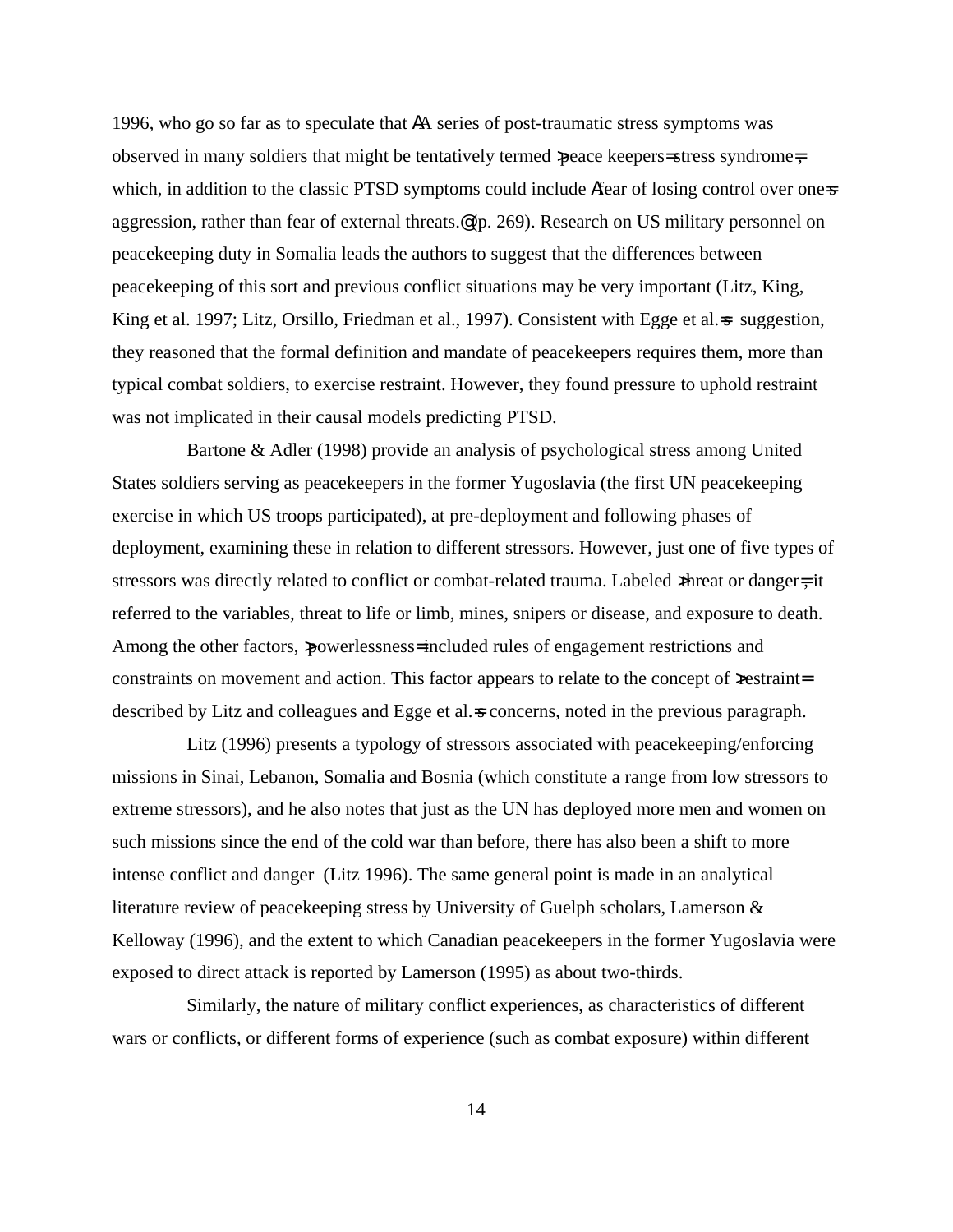1996, who go so far as to speculate that AA series of post-traumatic stress symptoms was observed in many soldiers that might be tentatively termed >peace keepers= stress syndrome=, which, in addition to the classic PTSD symptoms could include Afear of losing control over one-s aggression, rather than fear of external threats.<sup>®</sup> (p. 269). Research on US military personnel on peacekeeping duty in Somalia leads the authors to suggest that the differences between peacekeeping of this sort and previous conflict situations may be very important (Litz, King, King et al. 1997; Litz, Orsillo, Friedman et al., 1997). Consistent with Egge et al. s suggestion, they reasoned that the formal definition and mandate of peacekeepers requires them, more than typical combat soldiers, to exercise restraint. However, they found pressure to uphold restraint was not implicated in their causal models predicting PTSD.

Bartone & Adler (1998) provide an analysis of psychological stress among United States soldiers serving as peacekeepers in the former Yugoslavia (the first UN peacekeeping exercise in which US troops participated), at pre-deployment and following phases of deployment, examining these in relation to different stressors. However, just one of five types of stressors was directly related to conflict or combat-related trauma. Labeled ×threat or danger=, it referred to the variables, threat to life or limb, mines, snipers or disease, and exposure to death. Among the other factors, powerlessness= included rules of engagement restrictions and constraints on movement and action. This factor appears to relate to the concept of  $x$ estraint= described by Litz and colleagues and Egge et al. s concerns, noted in the previous paragraph.

Litz (1996) presents a typology of stressors associated with peacekeeping/enforcing missions in Sinai, Lebanon, Somalia and Bosnia (which constitute a range from low stressors to extreme stressors), and he also notes that just as the UN has deployed more men and women on such missions since the end of the cold war than before, there has also been a shift to more intense conflict and danger (Litz 1996). The same general point is made in an analytical literature review of peace keeping stress by University of Guelph scholars, Lamerson  $\&$ Kelloway (1996), and the extent to which Canadian peacekeepers in the former Yugoslavia were exposed to direct attack is reported by Lamerson (1995) as about two-thirds.

Similarly, the nature of military conflict experiences, as characteristics of different wars or conflicts, or different forms of experience (such as combat exposure) within different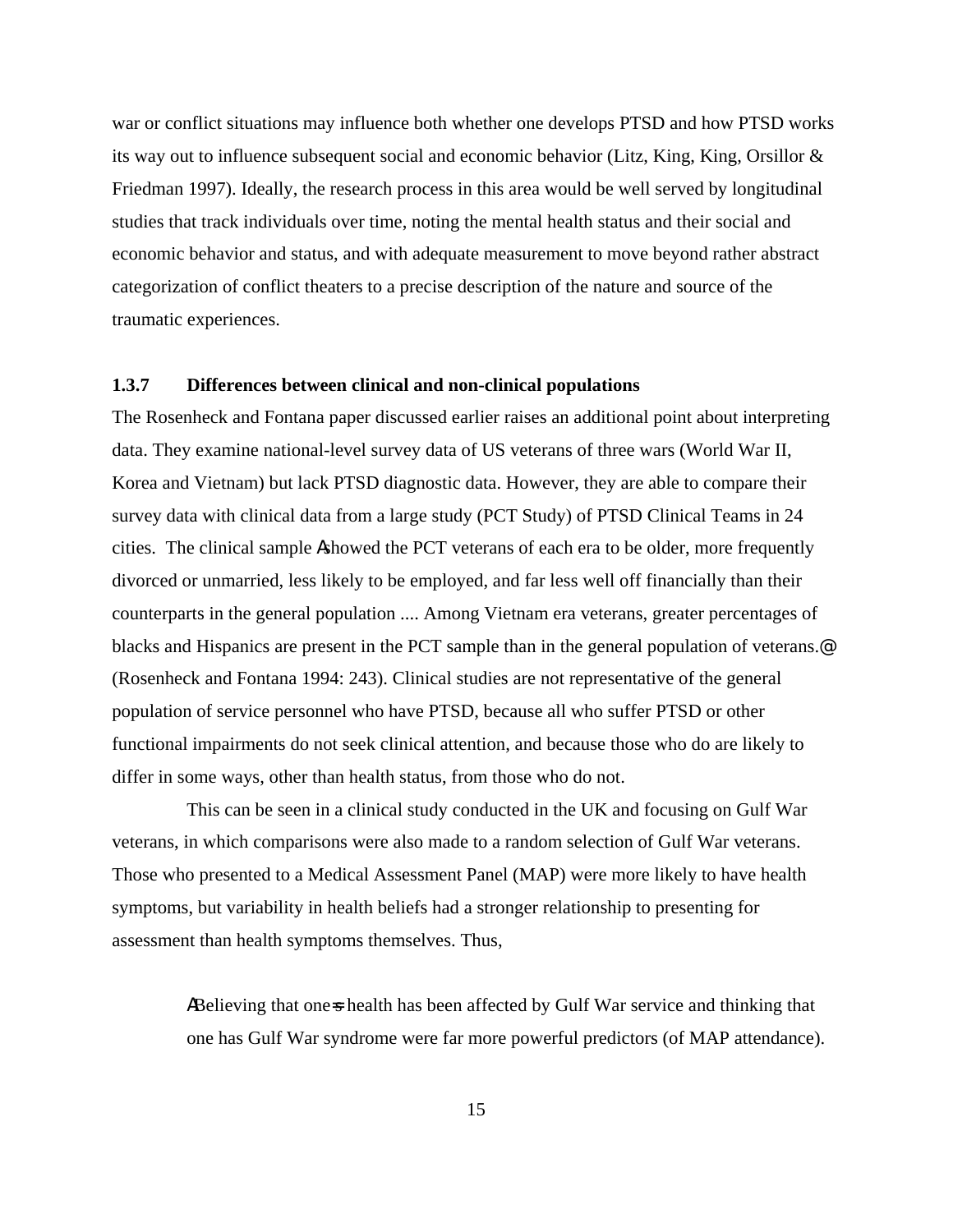war or conflict situations may influence both whether one develops PTSD and how PTSD works its way out to influence subsequent social and economic behavior (Litz, King, King, Orsillor  $\&$ Friedman 1997). Ideally, the research process in this area would be well served by longitudinal studies that track individuals over time, noting the mental health status and their social and economic behavior and status, and with adequate measurement to move beyond rather abstract categorization of conflict theaters to a precise description of the nature and source of the traumatic experiences.

# **1.3.7 Differences between clinical and non-clinical populations**

The Rosenheck and Fontana paper discussed earlier raises an additional point about interpreting data. They examine national-level survey data of US veterans of three wars (World War II, Korea and Vietnam) but lack PTSD diagnostic data. However, they are able to compare their survey data with clinical data from a large study (PCT Study) of PTSD Clinical Teams in 24 cities. The clinical sample Ashowed the PCT veterans of each era to be older, more frequently divorced or unmarried, less likely to be employed, and far less well off financially than their counterparts in the general population .... Among Vietnam era veterans, greater percentages of blacks and Hispanics are present in the PCT sample than in the general population of veterans.<sup>@</sup> (Rosenheck and Fontana 1994: 243). Clinical studies are not representative of the general population of service personnel who have PTSD, because all who suffer PTSD or other functional impairments do not seek clinical attention, and because those who do are likely to differ in some ways, other than health status, from those who do not.

This can be seen in a clinical study conducted in the UK and focusing on Gulf War veterans, in which comparisons were also made to a random selection of Gulf War veterans. Those who presented to a Medical Assessment Panel (MAP) were more likely to have health symptoms, but variability in health beliefs had a stronger relationship to presenting for assessment than health symptoms themselves. Thus,

> ABelieving that one-s health has been affected by Gulf War service and thinking that one has Gulf War syndrome were far more powerful predictors (of MAP attendance).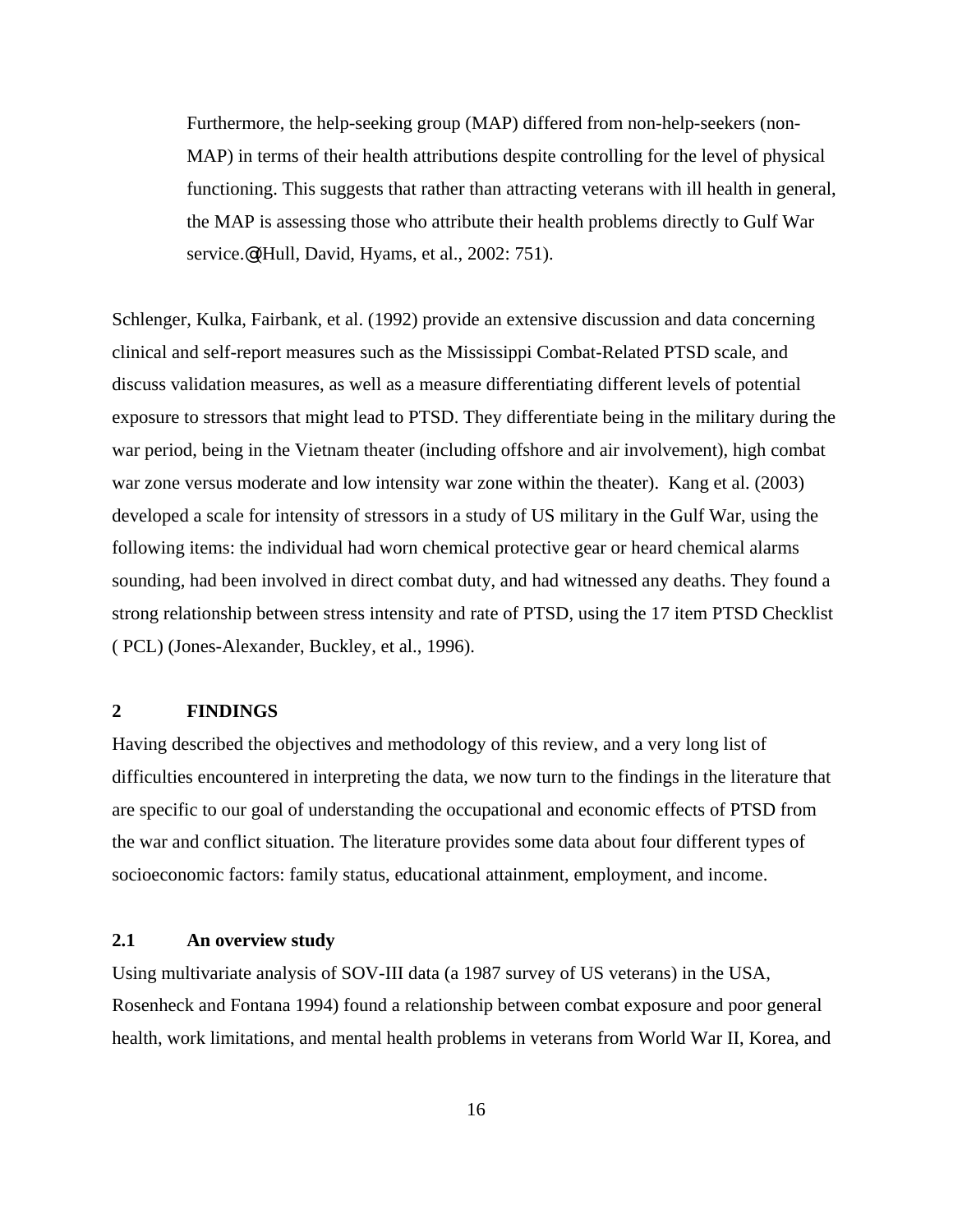Furthermore, the help-seeking group (MAP) differed from non-help-seekers (non-MAP) in terms of their health attributions despite controlling for the level of physical functioning. This suggests that rather than attracting veterans with ill health in general, the MAP is assessing those who attribute their health problems directly to Gulf War service.@ (Hull, David, Hyams, et al., 2002: 751).

Schlenger, Kulka, Fairbank, et al. (1992) provide an extensive discussion and data concerning clinical and self-report measures such as the Mississippi Combat-Related PTSD scale, and discuss validation measures, as well as a measure differentiating different levels of potential exposure to stressors that might lead to PTSD. They differentiate being in the military during the war period, being in the Vietnam theater (including offshore and air involvement), high combat war zone versus moderate and low intensity war zone within the theater). Kang et al. (2003) developed a scale for intensity of stressors in a study of US military in the Gulf War, using the following items: the individual had worn chemical protective gear or heard chemical alarms sounding, had been involved in direct combat duty, and had witnessed any deaths. They found a strong relationship between stress intensity and rate of PTSD, using the 17 item PTSD Checklist ( PCL) (Jones-Alexander, Buckley, et al., 1996).

## **2 FINDINGS**

Having described the objectives and methodology of this review, and a very long list of difficulties encountered in interpreting the data, we now turn to the findings in the literature that are specific to our goal of understanding the occupational and economic effects of PTSD from the war and conflict situation. The literature provides some data about four different types of socioeconomic factors: family status, educational attainment, employment, and income.

### **2.1 An overview study**

Using multivariate analysis of SOV-III data (a 1987 survey of US veterans) in the USA, Rosenheck and Fontana 1994) found a relationship between combat exposure and poor general health, work limitations, and mental health problems in veterans from World War II, Korea, and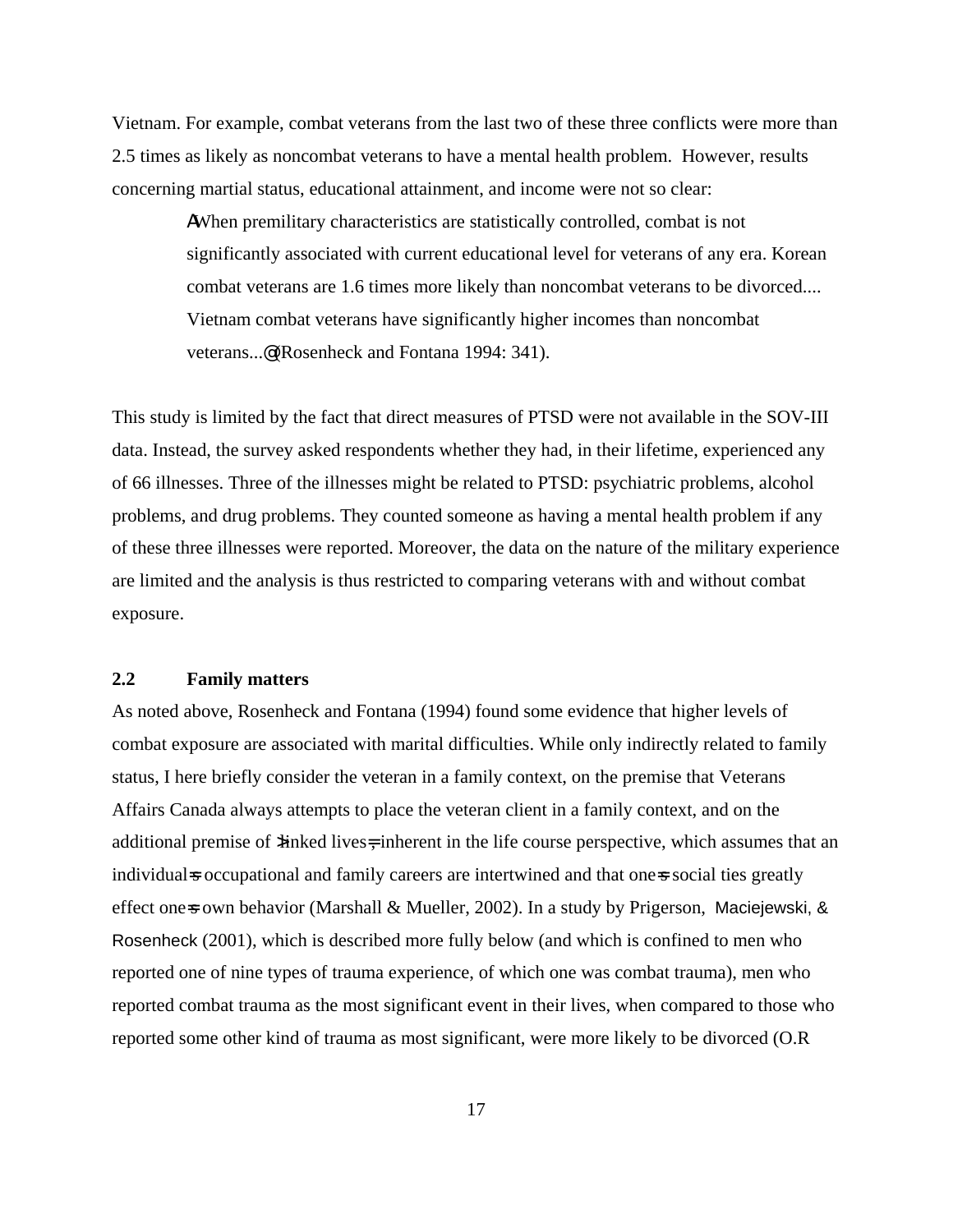Vietnam. For example, combat veterans from the last two of these three conflicts were more than 2.5 times as likely as noncombat veterans to have a mental health problem. However, results concerning martial status, educational attainment, and income were not so clear:

> AWhen premilitary characteristics are statistically controlled, combat is not significantly associated with current educational level for veterans of any era. Korean combat veterans are 1.6 times more likely than noncombat veterans to be divorced.... Vietnam combat veterans have significantly higher incomes than noncombat veterans...@ (Rosenheck and Fontana 1994: 341).

This study is limited by the fact that direct measures of PTSD were not available in the SOV-III data. Instead, the survey asked respondents whether they had, in their lifetime, experienced any of 66 illnesses. Three of the illnesses might be related to PTSD: psychiatric problems, alcohol problems, and drug problems. They counted someone as having a mental health problem if any of these three illnesses were reported. Moreover, the data on the nature of the military experience are limited and the analysis is thus restricted to comparing veterans with and without combat exposure.

### **2.2 Family matters**

As noted above, Rosenheck and Fontana (1994) found some evidence that higher levels of combat exposure are associated with marital difficulties. While only indirectly related to family status, I here briefly consider the veteran in a family context, on the premise that Veterans Affairs Canada always attempts to place the veteran client in a family context, and on the additional premise of  $\lambda$  inked lives=, inherent in the life course perspective, which assumes that an individual=s occupational and family careers are intertwined and that one=s social ties greatly effect one-s own behavior (Marshall & Mueller, 2002). In a study by Prigerson, Maciejewski, & Rosenheck (2001), which is described more fully below (and which is confined to men who reported one of nine types of trauma experience, of which one was combat trauma), men who reported combat trauma as the most significant event in their lives, when compared to those who reported some other kind of trauma as most significant, were more likely to be divorced (O.R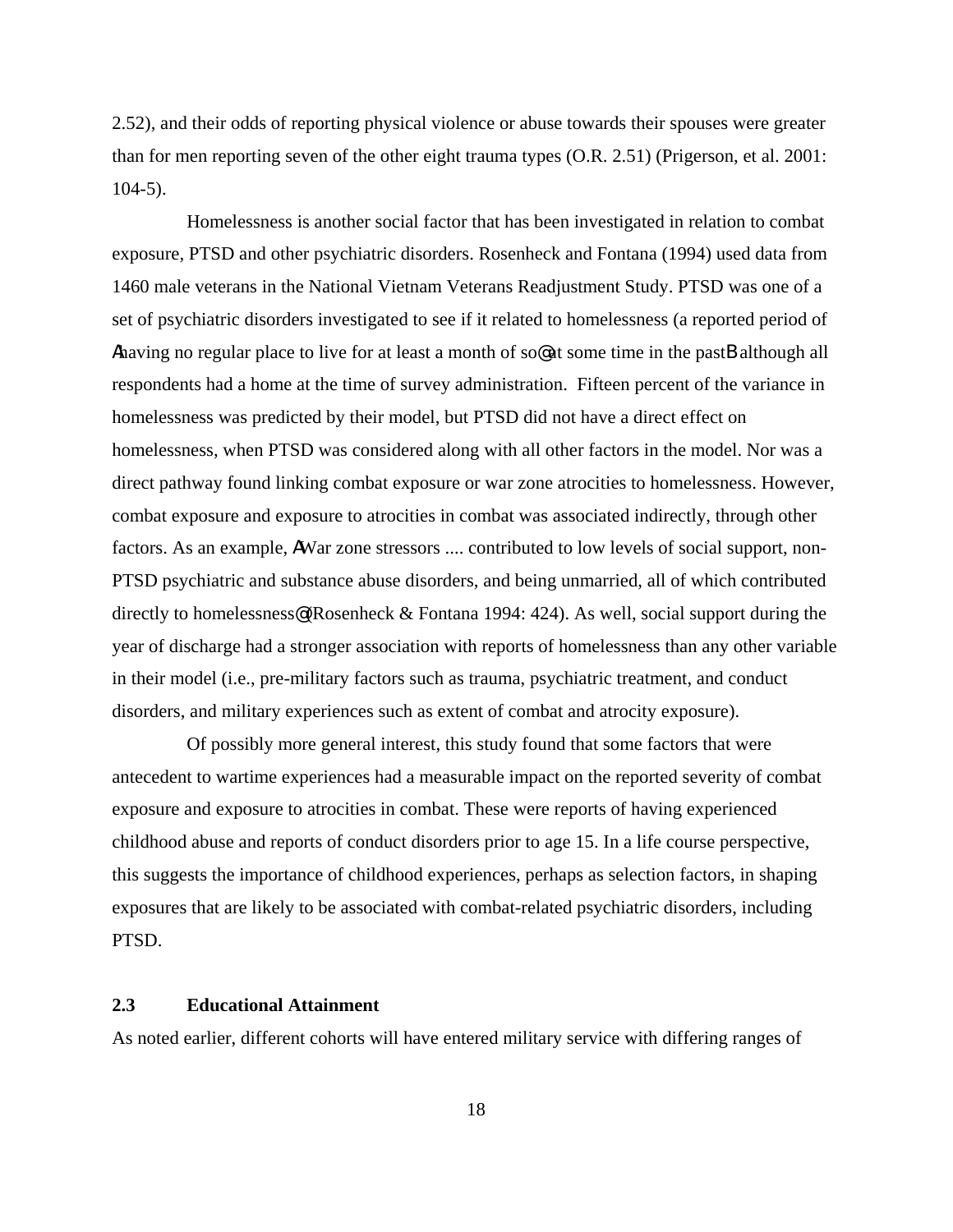2.52), and their odds of reporting physical violence or abuse towards their spouses were greater than for men reporting seven of the other eight trauma types (O.R. 2.51) (Prigerson, et al. 2001: 104-5).

Homelessness is another social factor that has been investigated in relation to combat exposure, PTSD and other psychiatric disorders. Rosenheck and Fontana (1994) used data from 1460 male veterans in the National Vietnam Veterans Readjustment Study. PTSD was one of a set of psychiatric disorders investigated to see if it related to homelessness (a reported period of Ahaving no regular place to live for at least a month of so  $\infty$  at some time in the pastB although all respondents had a home at the time of survey administration. Fifteen percent of the variance in homelessness was predicted by their model, but PTSD did not have a direct effect on homelessness, when PTSD was considered along with all other factors in the model. Nor was a direct pathway found linking combat exposure or war zone atrocities to homelessness. However, combat exposure and exposure to atrocities in combat was associated indirectly, through other factors. As an example, AWar zone stressors .... contributed to low levels of social support, non-PTSD psychiatric and substance abuse disorders, and being unmarried, all of which contributed directly to homelessness<sup>®</sup> (Rosenheck & Fontana 1994: 424). As well, social support during the year of discharge had a stronger association with reports of homelessness than any other variable in their model (i.e., pre-military factors such as trauma, psychiatric treatment, and conduct disorders, and military experiences such as extent of combat and atrocity exposure).

Of possibly more general interest, this study found that some factors that were antecedent to wartime experiences had a measurable impact on the reported severity of combat exposure and exposure to atrocities in combat. These were reports of having experienced childhood abuse and reports of conduct disorders prior to age 15. In a life course perspective, this suggests the importance of childhood experiences, perhaps as selection factors, in shaping exposures that are likely to be associated with combat-related psychiatric disorders, including PTSD.

### **2.3 Educational Attainment**

As noted earlier, different cohorts will have entered military service with differing ranges of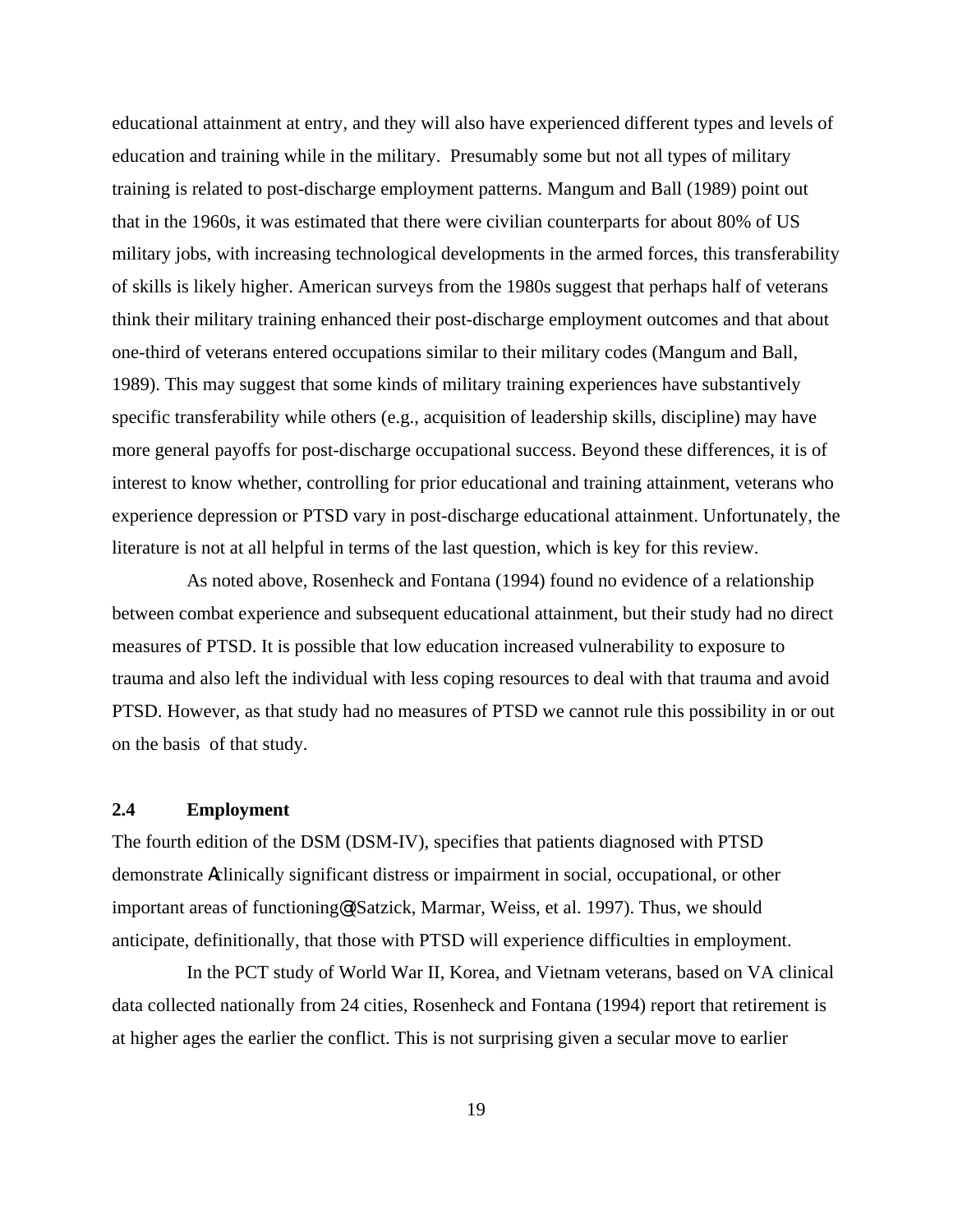educational attainment at entry, and they will also have experienced different types and levels of education and training while in the military. Presumably some but not all types of military training is related to post-discharge employment patterns. Mangum and Ball (1989) point out that in the 1960s, it was estimated that there were civilian counterparts for about 80% of US military jobs, with increasing technological developments in the armed forces, this transferability of skills is likely higher. American surveys from the 1980s suggest that perhaps half of veterans think their military training enhanced their post-discharge employment outcomes and that about one-third of veterans entered occupations similar to their military codes (Mangum and Ball, 1989). This may suggest that some kinds of military training experiences have substantively specific transferability while others (e.g., acquisition of leadership skills, discipline) may have more general payoffs for post-discharge occupational success. Beyond these differences, it is of interest to know whether, controlling for prior educational and training attainment, veterans who experience depression or PTSD vary in post-discharge educational attainment. Unfortunately, the literature is not at all helpful in terms of the last question, which is key for this review.

As noted above, Rosenheck and Fontana (1994) found no evidence of a relationship between combat experience and subsequent educational attainment, but their study had no direct measures of PTSD. It is possible that low education increased vulnerability to exposure to trauma and also left the individual with less coping resources to deal with that trauma and avoid PTSD. However, as that study had no measures of PTSD we cannot rule this possibility in or out on the basis of that study.

#### **2.4 Employment**

The fourth edition of the DSM (DSM-IV), specifies that patients diagnosed with PTSD demonstrate Aclinically significant distress or impairment in social, occupational, or other important areas of functioning@ (Satzick, Marmar, Weiss, et al. 1997). Thus, we should anticipate, definitionally, that those with PTSD will experience difficulties in employment.

In the PCT study of World War II, Korea, and Vietnam veterans, based on VA clinical data collected nationally from 24 cities, Rosenheck and Fontana (1994) report that retirement is at higher ages the earlier the conflict. This is not surprising given a secular move to earlier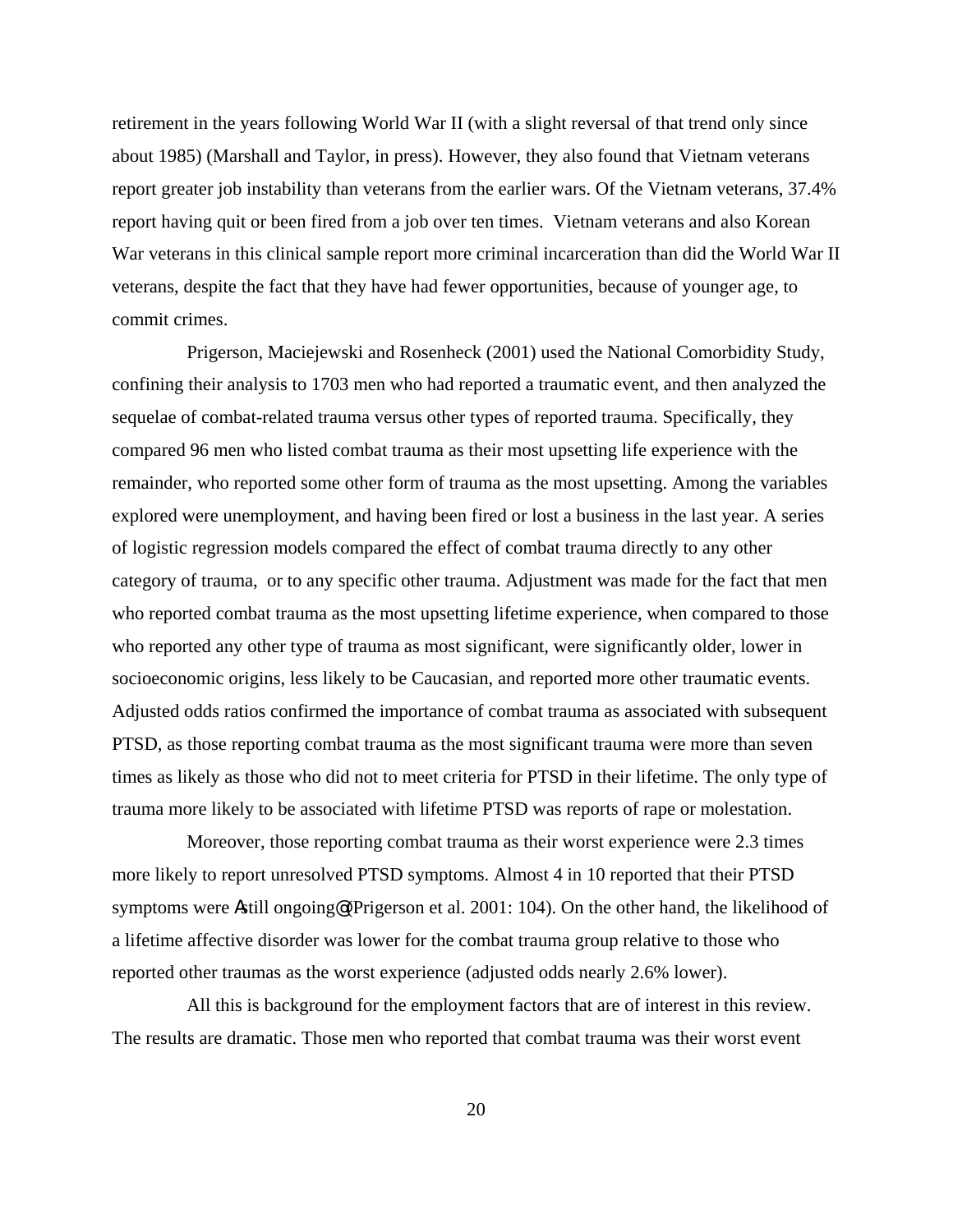retirement in the years following World War II (with a slight reversal of that trend only since about 1985) (Marshall and Taylor, in press). However, they also found that Vietnam veterans report greater job instability than veterans from the earlier wars. Of the Vietnam veterans, 37.4% report having quit or been fired from a job over ten times. Vietnam veterans and also Korean War veterans in this clinical sample report more criminal incarceration than did the World War II veterans, despite the fact that they have had fewer opportunities, because of younger age, to commit crimes.

Prigerson, Maciejewski and Rosenheck (2001) used the National Comorbidity Study, confining their analysis to 1703 men who had reported a traumatic event, and then analyzed the sequelae of combat-related trauma versus other types of reported trauma. Specifically, they compared 96 men who listed combat trauma as their most upsetting life experience with the remainder, who reported some other form of trauma as the most upsetting. Among the variables explored were unemployment, and having been fired or lost a business in the last year. A series of logistic regression models compared the effect of combat trauma directly to any other category of trauma, or to any specific other trauma. Adjustment was made for the fact that men who reported combat trauma as the most upsetting lifetime experience, when compared to those who reported any other type of trauma as most significant, were significantly older, lower in socioeconomic origins, less likely to be Caucasian, and reported more other traumatic events. Adjusted odds ratios confirmed the importance of combat trauma as associated with subsequent PTSD, as those reporting combat trauma as the most significant trauma were more than seven times as likely as those who did not to meet criteria for PTSD in their lifetime. The only type of trauma more likely to be associated with lifetime PTSD was reports of rape or molestation.

Moreover, those reporting combat trauma as their worst experience were 2.3 times more likely to report unresolved PTSD symptoms. Almost 4 in 10 reported that their PTSD symptoms were Astill ongoing@ (Prigerson et al. 2001: 104). On the other hand, the likelihood of a lifetime affective disorder was lower for the combat trauma group relative to those who reported other traumas as the worst experience (adjusted odds nearly 2.6% lower).

All this is background for the employment factors that are of interest in this review. The results are dramatic. Those men who reported that combat trauma was their worst event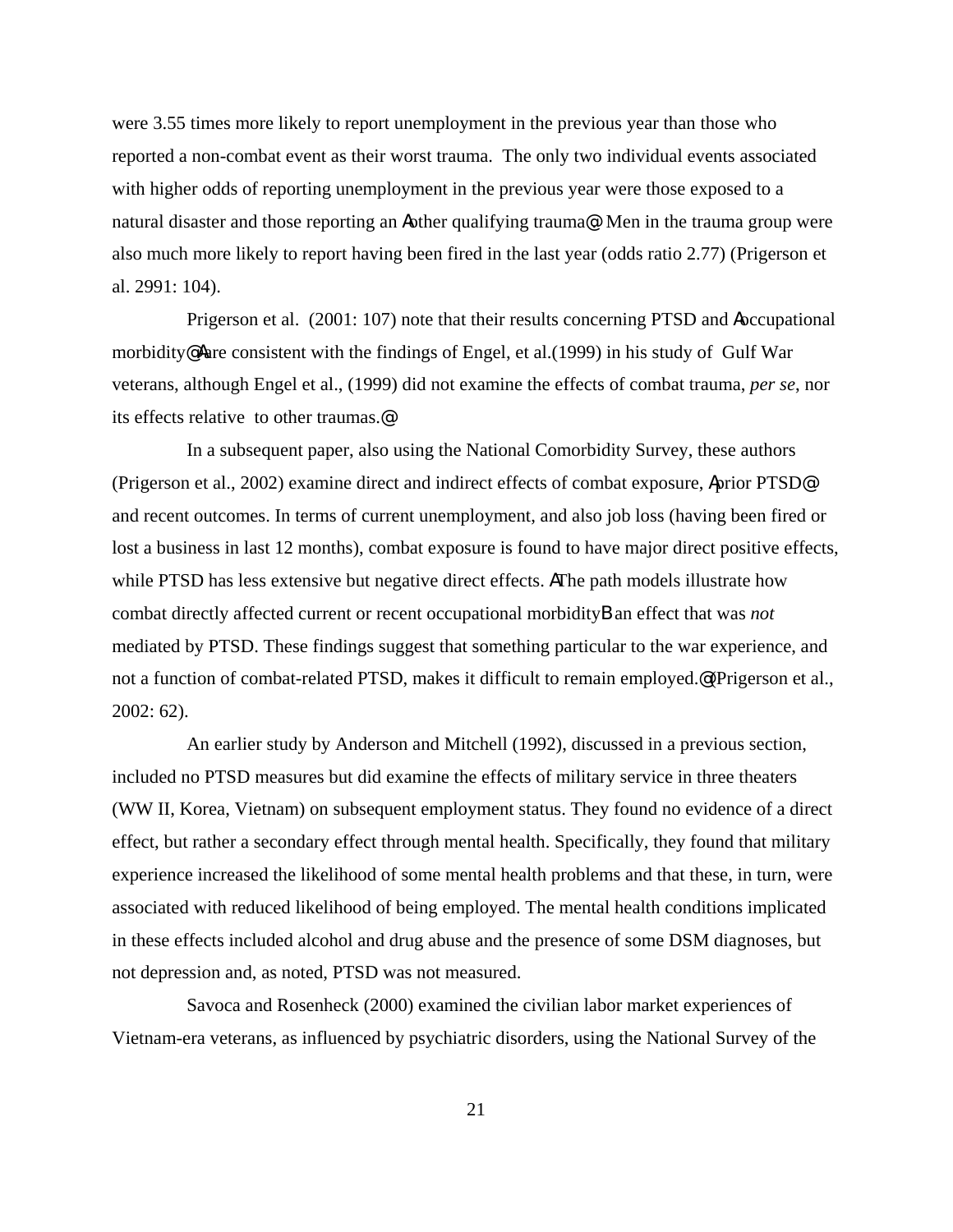were 3.55 times more likely to report unemployment in the previous year than those who reported a non-combat event as their worst trauma. The only two individual events associated with higher odds of reporting unemployment in the previous year were those exposed to a natural disaster and those reporting an Aother qualifying trauma@. Men in the trauma group were also much more likely to report having been fired in the last year (odds ratio 2.77) (Prigerson et al. 2991: 104).

Prigerson et al. (2001: 107) note that their results concerning PTSD and Aoccupational morbidity@ Aare consistent with the findings of Engel, et al.(1999) in his study of Gulf War veterans, although Engel et al., (1999) did not examine the effects of combat trauma, *per se*, nor its effects relative to other traumas.@

In a subsequent paper, also using the National Comorbidity Survey, these authors (Prigerson et al., 2002) examine direct and indirect effects of combat exposure, Aprior PTSD@ and recent outcomes. In terms of current unemployment, and also job loss (having been fired or lost a business in last 12 months), combat exposure is found to have major direct positive effects, while PTSD has less extensive but negative direct effects. AThe path models illustrate how combat directly affected current or recent occupational morbidityB an effect that was *not* mediated by PTSD. These findings suggest that something particular to the war experience, and not a function of combat-related PTSD, makes it difficult to remain employed.@ (Prigerson et al., 2002: 62).

An earlier study by Anderson and Mitchell (1992), discussed in a previous section, included no PTSD measures but did examine the effects of military service in three theaters (WW II, Korea, Vietnam) on subsequent employment status. They found no evidence of a direct effect, but rather a secondary effect through mental health. Specifically, they found that military experience increased the likelihood of some mental health problems and that these, in turn, were associated with reduced likelihood of being employed. The mental health conditions implicated in these effects included alcohol and drug abuse and the presence of some DSM diagnoses, but not depression and, as noted, PTSD was not measured.

Savoca and Rosenheck (2000) examined the civilian labor market experiences of Vietnam-era veterans, as influenced by psychiatric disorders, using the National Survey of the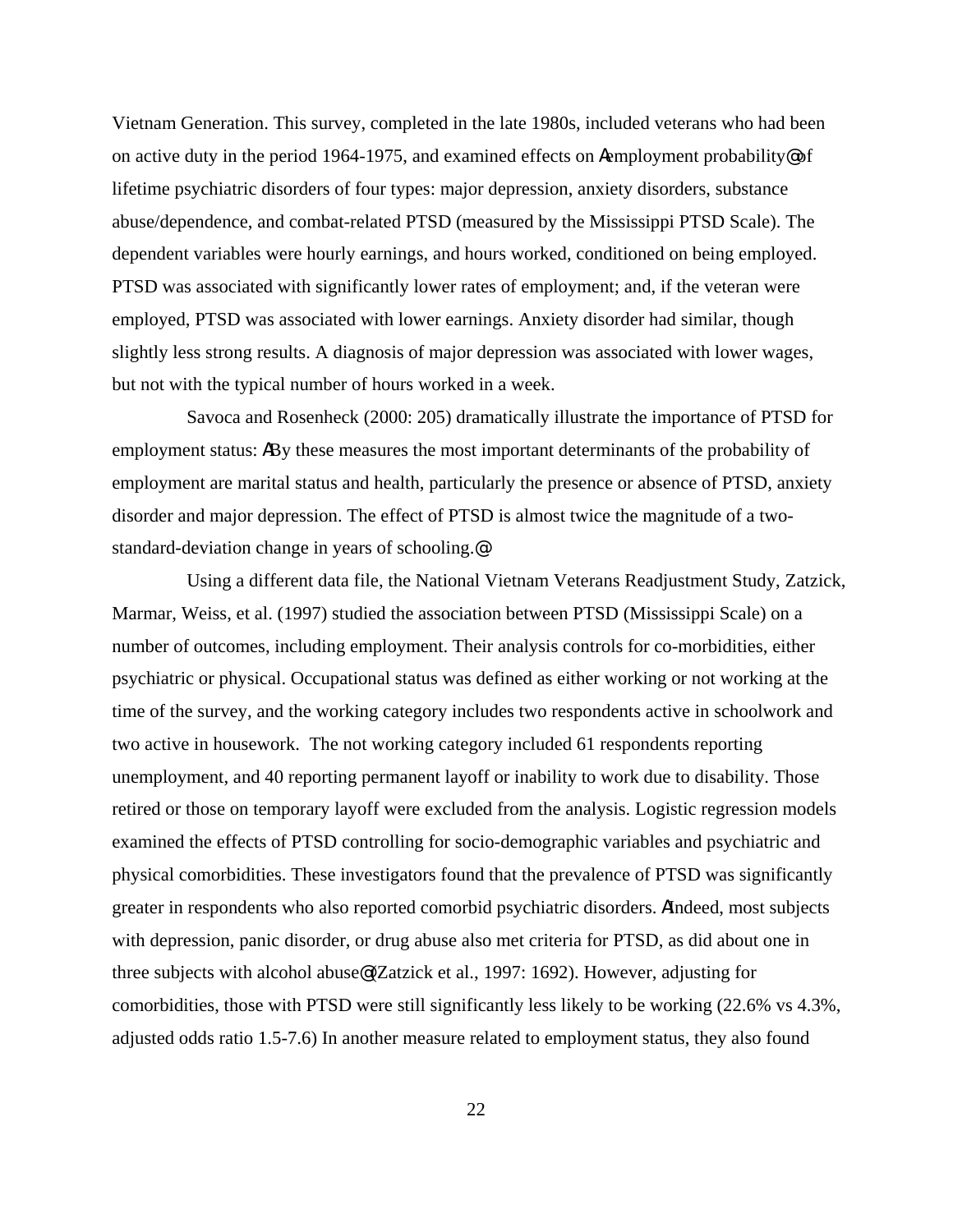Vietnam Generation. This survey, completed in the late 1980s, included veterans who had been on active duty in the period 1964-1975, and examined effects on Aemployment probability  $\circ$  of lifetime psychiatric disorders of four types: major depression, anxiety disorders, substance abuse/dependence, and combat-related PTSD (measured by the Mississippi PTSD Scale). The dependent variables were hourly earnings, and hours worked, conditioned on being employed. PTSD was associated with significantly lower rates of employment; and, if the veteran were employed, PTSD was associated with lower earnings. Anxiety disorder had similar, though slightly less strong results. A diagnosis of major depression was associated with lower wages, but not with the typical number of hours worked in a week.

Savoca and Rosenheck (2000: 205) dramatically illustrate the importance of PTSD for employment status: ABy these measures the most important determinants of the probability of employment are marital status and health, particularly the presence or absence of PTSD, anxiety disorder and major depression. The effect of PTSD is almost twice the magnitude of a twostandard-deviation change in years of schooling.@

Using a different data file, the National Vietnam Veterans Readjustment Study, Zatzick, Marmar, Weiss, et al. (1997) studied the association between PTSD (Mississippi Scale) on a number of outcomes, including employment. Their analysis controls for co-morbidities, either psychiatric or physical. Occupational status was defined as either working or not working at the time of the survey, and the working category includes two respondents active in schoolwork and two active in housework. The not working category included 61 respondents reporting unemployment, and 40 reporting permanent layoff or inability to work due to disability. Those retired or those on temporary layoff were excluded from the analysis. Logistic regression models examined the effects of PTSD controlling for socio-demographic variables and psychiatric and physical comorbidities. These investigators found that the prevalence of PTSD was significantly greater in respondents who also reported comorbid psychiatric disorders. AIndeed, most subjects with depression, panic disorder, or drug abuse also met criteria for PTSD, as did about one in three subjects with alcohol abuse@ (Zatzick et al., 1997: 1692). However, adjusting for comorbidities, those with PTSD were still significantly less likely to be working (22.6% vs 4.3%, adjusted odds ratio 1.5-7.6) In another measure related to employment status, they also found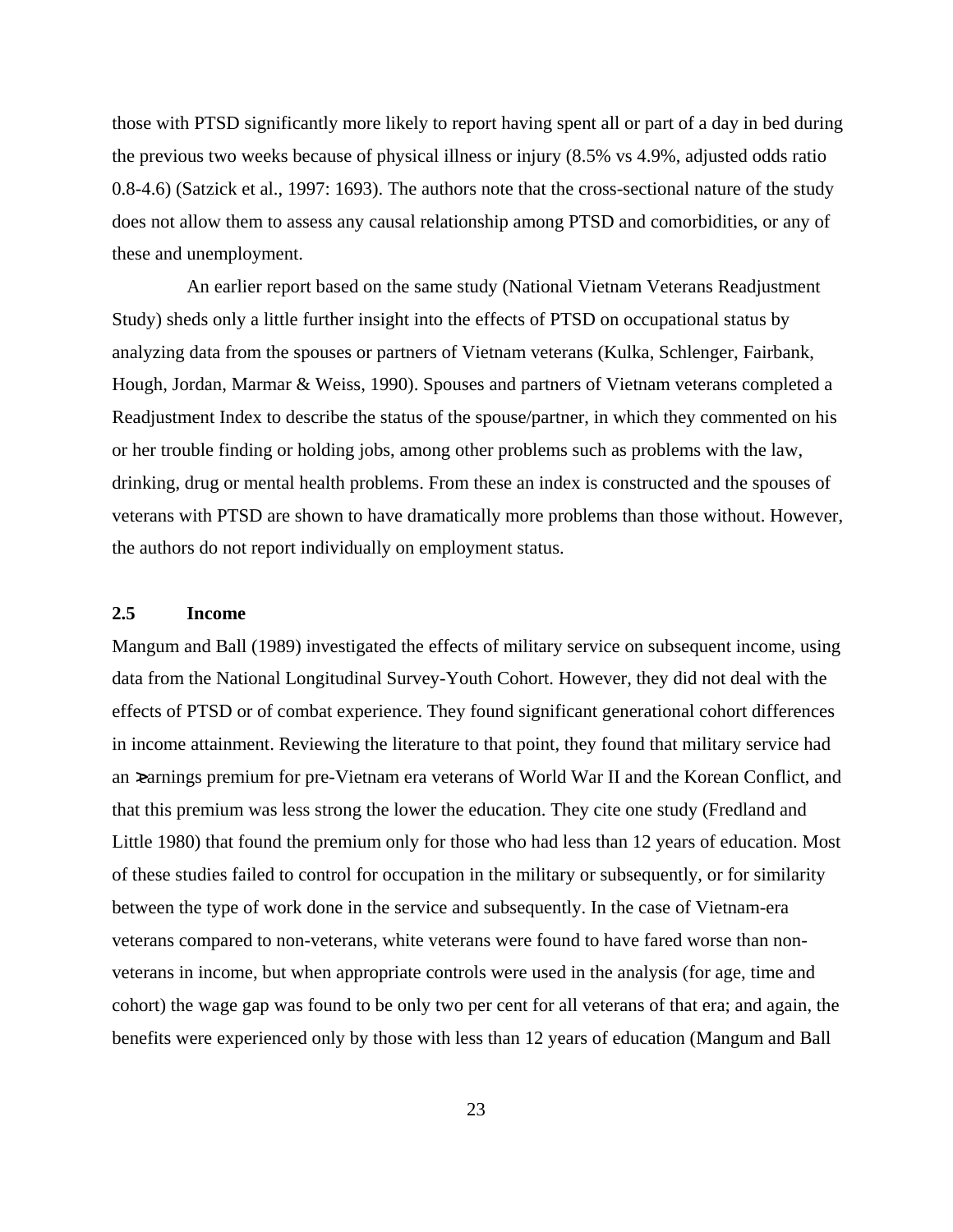those with PTSD significantly more likely to report having spent all or part of a day in bed during the previous two weeks because of physical illness or injury (8.5% vs 4.9%, adjusted odds ratio 0.8-4.6) (Satzick et al., 1997: 1693). The authors note that the cross-sectional nature of the study does not allow them to assess any causal relationship among PTSD and comorbidities, or any of these and unemployment.

An earlier report based on the same study (National Vietnam Veterans Readjustment Study) sheds only a little further insight into the effects of PTSD on occupational status by analyzing data from the spouses or partners of Vietnam veterans (Kulka, Schlenger, Fairbank, Hough, Jordan, Marmar & Weiss, 1990). Spouses and partners of Vietnam veterans completed a Readjustment Index to describe the status of the spouse/partner, in which they commented on his or her trouble finding or holding jobs, among other problems such as problems with the law, drinking, drug or mental health problems. From these an index is constructed and the spouses of veterans with PTSD are shown to have dramatically more problems than those without. However, the authors do not report individually on employment status.

#### **2.5 Income**

Mangum and Ball (1989) investigated the effects of military service on subsequent income, using data from the National Longitudinal Survey-Youth Cohort. However, they did not deal with the effects of PTSD or of combat experience. They found significant generational cohort differences in income attainment. Reviewing the literature to that point, they found that military service had an >earnings premium for pre-Vietnam era veterans of World War II and the Korean Conflict, and that this premium was less strong the lower the education. They cite one study (Fredland and Little 1980) that found the premium only for those who had less than 12 years of education. Most of these studies failed to control for occupation in the military or subsequently, or for similarity between the type of work done in the service and subsequently. In the case of Vietnam-era veterans compared to non-veterans, white veterans were found to have fared worse than nonveterans in income, but when appropriate controls were used in the analysis (for age, time and cohort) the wage gap was found to be only two per cent for all veterans of that era; and again, the benefits were experienced only by those with less than 12 years of education (Mangum and Ball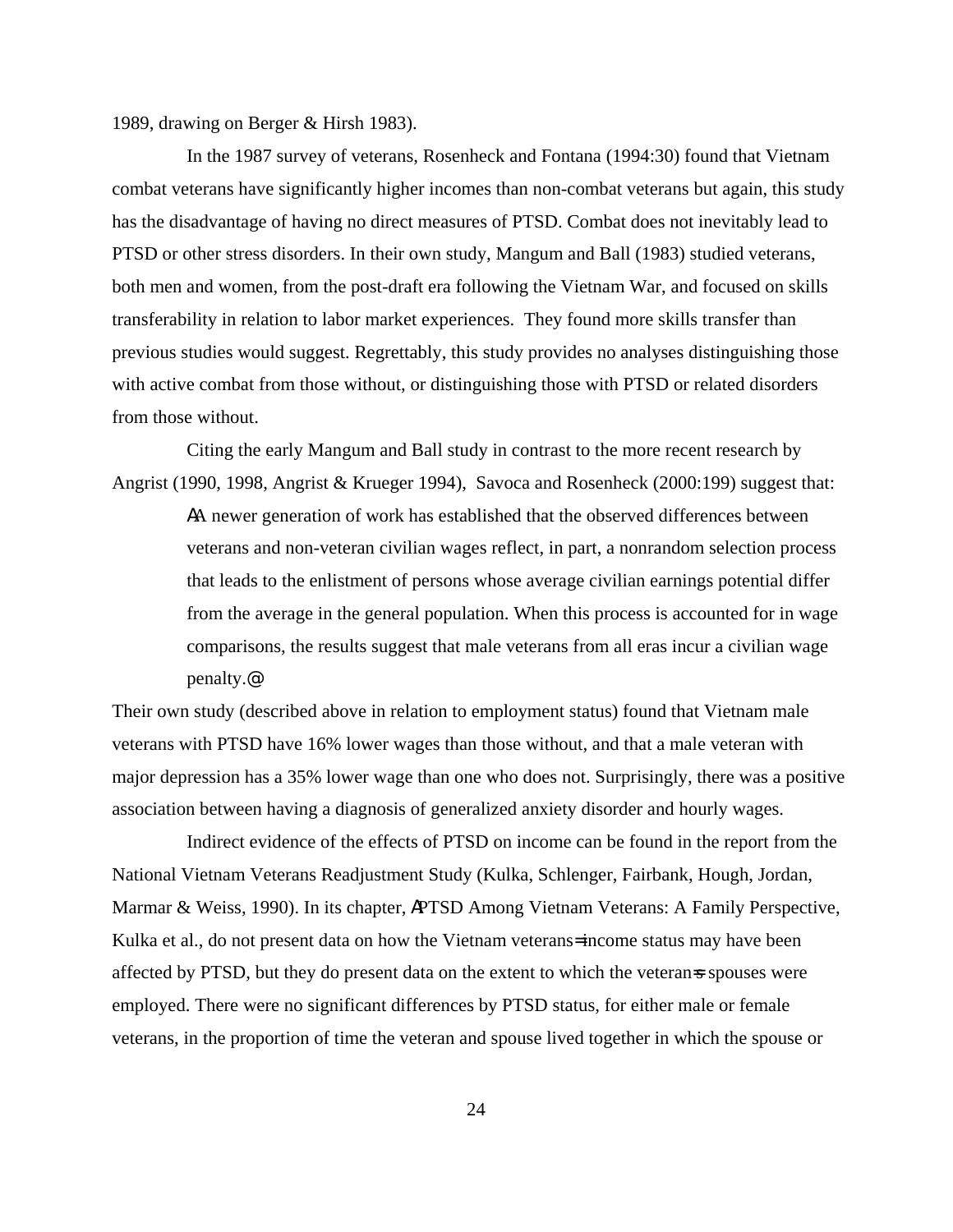1989, drawing on Berger & Hirsh 1983).

In the 1987 survey of veterans, Rosenheck and Fontana (1994:30) found that Vietnam combat veterans have significantly higher incomes than non-combat veterans but again, this study has the disadvantage of having no direct measures of PTSD. Combat does not inevitably lead to PTSD or other stress disorders. In their own study, Mangum and Ball (1983) studied veterans, both men and women, from the post-draft era following the Vietnam War, and focused on skills transferability in relation to labor market experiences. They found more skills transfer than previous studies would suggest. Regrettably, this study provides no analyses distinguishing those with active combat from those without, or distinguishing those with PTSD or related disorders from those without.

Citing the early Mangum and Ball study in contrast to the more recent research by Angrist (1990, 1998, Angrist & Krueger 1994), Savoca and Rosenheck (2000:199) suggest that:

AA newer generation of work has established that the observed differences between veterans and non-veteran civilian wages reflect, in part, a nonrandom selection process that leads to the enlistment of persons whose average civilian earnings potential differ from the average in the general population. When this process is accounted for in wage comparisons, the results suggest that male veterans from all eras incur a civilian wage penalty.@

Their own study (described above in relation to employment status) found that Vietnam male veterans with PTSD have 16% lower wages than those without, and that a male veteran with major depression has a 35% lower wage than one who does not. Surprisingly, there was a positive association between having a diagnosis of generalized anxiety disorder and hourly wages.

Indirect evidence of the effects of PTSD on income can be found in the report from the National Vietnam Veterans Readjustment Study (Kulka, Schlenger, Fairbank, Hough, Jordan, Marmar & Weiss, 1990). In its chapter, APTSD Among Vietnam Veterans: A Family Perspective, Kulka et al., do not present data on how the Vietnam veterans= income status may have been affected by PTSD, but they do present data on the extent to which the veteran=s spouses were employed. There were no significant differences by PTSD status, for either male or female veterans, in the proportion of time the veteran and spouse lived together in which the spouse or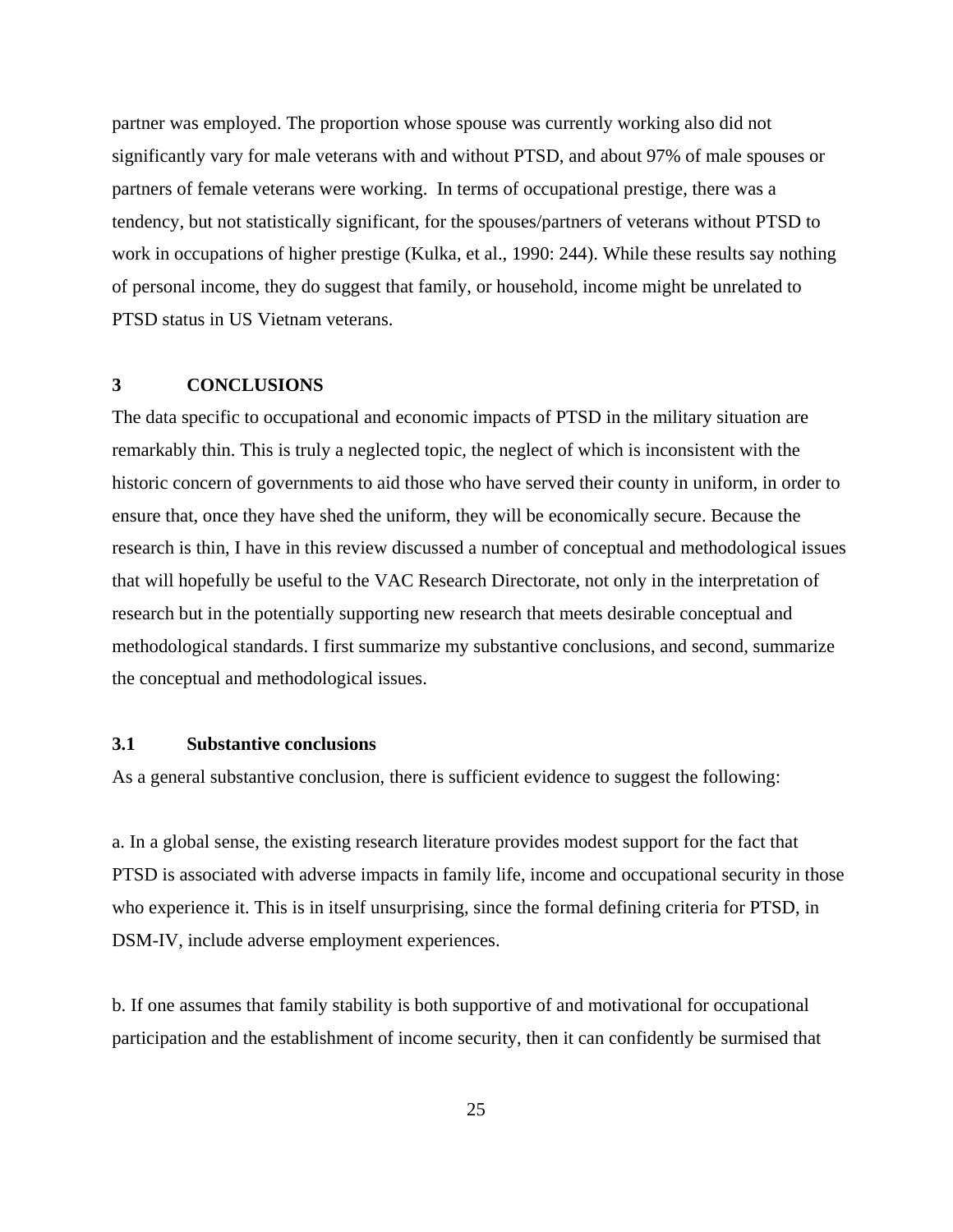partner was employed. The proportion whose spouse was currently working also did not significantly vary for male veterans with and without PTSD, and about 97% of male spouses or partners of female veterans were working. In terms of occupational prestige, there was a tendency, but not statistically significant, for the spouses/partners of veterans without PTSD to work in occupations of higher prestige (Kulka, et al., 1990: 244). While these results say nothing of personal income, they do suggest that family, or household, income might be unrelated to PTSD status in US Vietnam veterans.

### **3 CONCLUSIONS**

The data specific to occupational and economic impacts of PTSD in the military situation are remarkably thin. This is truly a neglected topic, the neglect of which is inconsistent with the historic concern of governments to aid those who have served their county in uniform, in order to ensure that, once they have shed the uniform, they will be economically secure. Because the research is thin, I have in this review discussed a number of conceptual and methodological issues that will hopefully be useful to the VAC Research Directorate, not only in the interpretation of research but in the potentially supporting new research that meets desirable conceptual and methodological standards. I first summarize my substantive conclusions, and second, summarize the conceptual and methodological issues.

### **3.1 Substantive conclusions**

As a general substantive conclusion, there is sufficient evidence to suggest the following:

a. In a global sense, the existing research literature provides modest support for the fact that PTSD is associated with adverse impacts in family life, income and occupational security in those who experience it. This is in itself unsurprising, since the formal defining criteria for PTSD, in DSM-IV, include adverse employment experiences.

b. If one assumes that family stability is both supportive of and motivational for occupational participation and the establishment of income security, then it can confidently be surmised that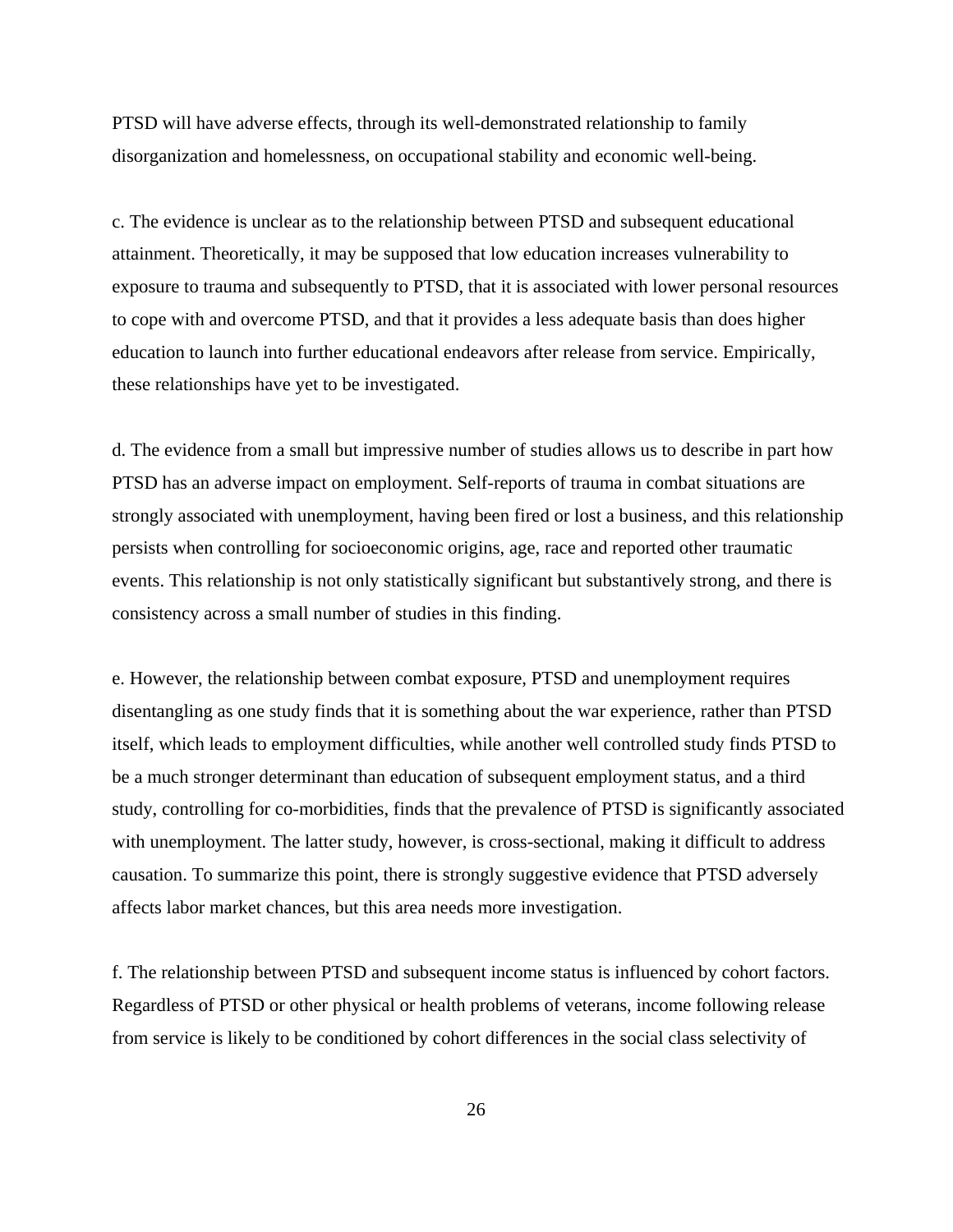PTSD will have adverse effects, through its well-demonstrated relationship to family disorganization and homelessness, on occupational stability and economic well-being.

c. The evidence is unclear as to the relationship between PTSD and subsequent educational attainment. Theoretically, it may be supposed that low education increases vulnerability to exposure to trauma and subsequently to PTSD, that it is associated with lower personal resources to cope with and overcome PTSD, and that it provides a less adequate basis than does higher education to launch into further educational endeavors after release from service. Empirically, these relationships have yet to be investigated.

d. The evidence from a small but impressive number of studies allows us to describe in part how PTSD has an adverse impact on employment. Self-reports of trauma in combat situations are strongly associated with unemployment, having been fired or lost a business, and this relationship persists when controlling for socioeconomic origins, age, race and reported other traumatic events. This relationship is not only statistically significant but substantively strong, and there is consistency across a small number of studies in this finding.

e. However, the relationship between combat exposure, PTSD and unemployment requires disentangling as one study finds that it is something about the war experience, rather than PTSD itself, which leads to employment difficulties, while another well controlled study finds PTSD to be a much stronger determinant than education of subsequent employment status, and a third study, controlling for co-morbidities, finds that the prevalence of PTSD is significantly associated with unemployment. The latter study, however, is cross-sectional, making it difficult to address causation. To summarize this point, there is strongly suggestive evidence that PTSD adversely affects labor market chances, but this area needs more investigation.

f. The relationship between PTSD and subsequent income status is influenced by cohort factors. Regardless of PTSD or other physical or health problems of veterans, income following release from service is likely to be conditioned by cohort differences in the social class selectivity of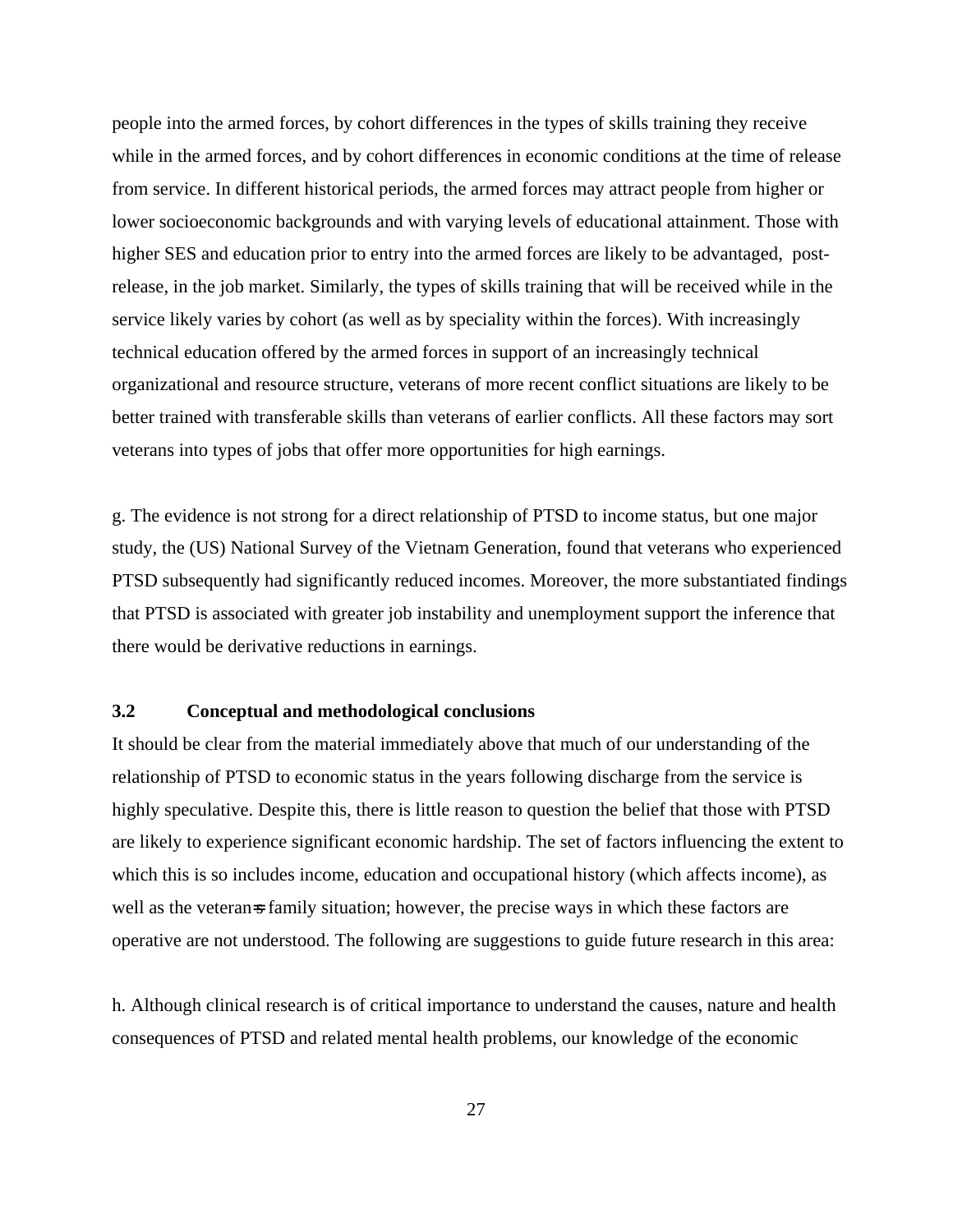people into the armed forces, by cohort differences in the types of skills training they receive while in the armed forces, and by cohort differences in economic conditions at the time of release from service. In different historical periods, the armed forces may attract people from higher or lower socioeconomic backgrounds and with varying levels of educational attainment. Those with higher SES and education prior to entry into the armed forces are likely to be advantaged, postrelease, in the job market. Similarly, the types of skills training that will be received while in the service likely varies by cohort (as well as by speciality within the forces). With increasingly technical education offered by the armed forces in support of an increasingly technical organizational and resource structure, veterans of more recent conflict situations are likely to be better trained with transferable skills than veterans of earlier conflicts. All these factors may sort veterans into types of jobs that offer more opportunities for high earnings.

g. The evidence is not strong for a direct relationship of PTSD to income status, but one major study, the (US) National Survey of the Vietnam Generation, found that veterans who experienced PTSD subsequently had significantly reduced incomes. Moreover, the more substantiated findings that PTSD is associated with greater job instability and unemployment support the inference that there would be derivative reductions in earnings.

## **3.2 Conceptual and methodological conclusions**

It should be clear from the material immediately above that much of our understanding of the relationship of PTSD to economic status in the years following discharge from the service is highly speculative. Despite this, there is little reason to question the belief that those with PTSD are likely to experience significant economic hardship. The set of factors influencing the extent to which this is so includes income, education and occupational history (which affects income), as well as the veteran=s family situation; however, the precise ways in which these factors are operative are not understood. The following are suggestions to guide future research in this area:

h. Although clinical research is of critical importance to understand the causes, nature and health consequences of PTSD and related mental health problems, our knowledge of the economic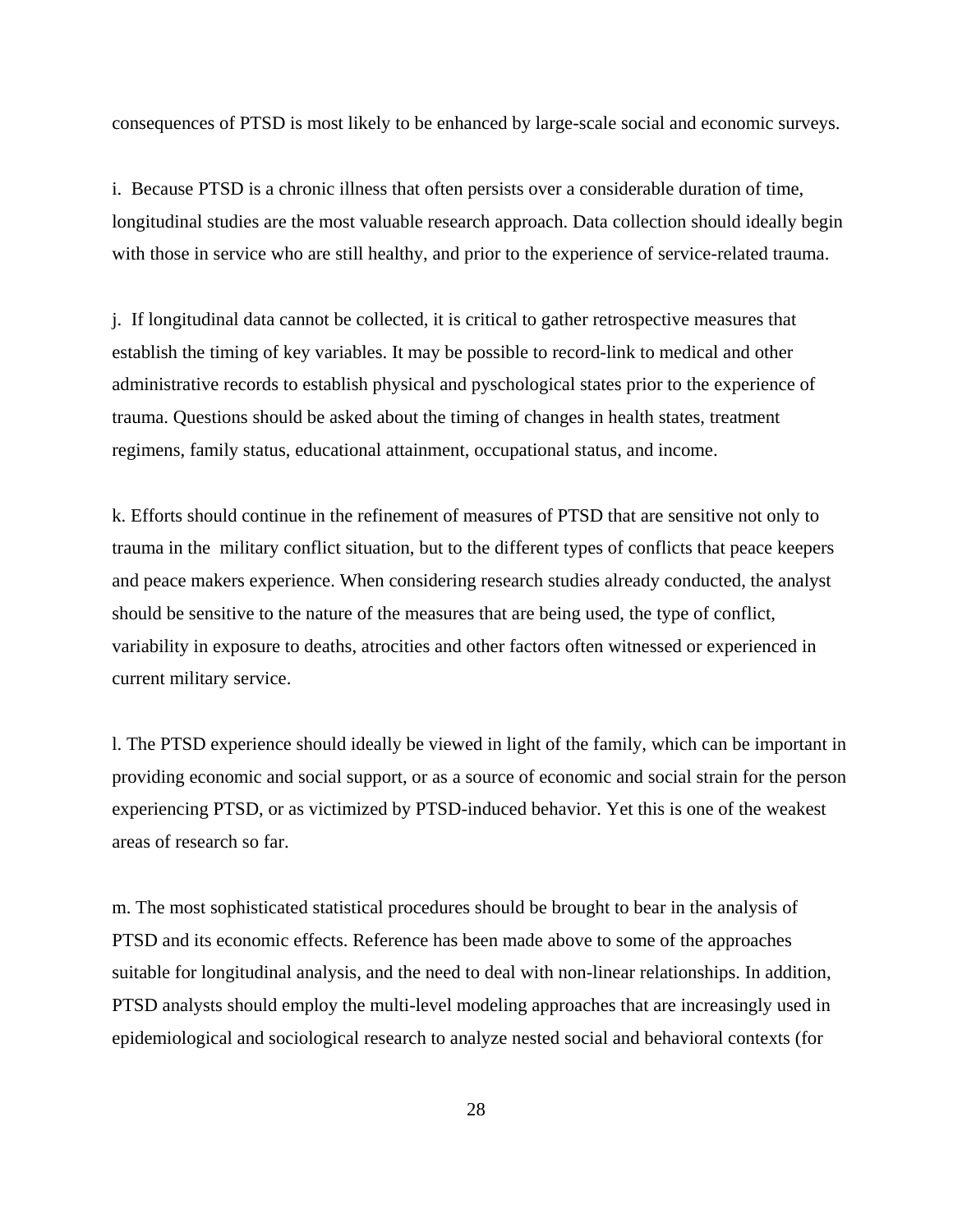consequences of PTSD is most likely to be enhanced by large-scale social and economic surveys.

i. Because PTSD is a chronic illness that often persists over a considerable duration of time, longitudinal studies are the most valuable research approach. Data collection should ideally begin with those in service who are still healthy, and prior to the experience of service-related trauma.

j. If longitudinal data cannot be collected, it is critical to gather retrospective measures that establish the timing of key variables. It may be possible to record-link to medical and other administrative records to establish physical and pyschological states prior to the experience of trauma. Questions should be asked about the timing of changes in health states, treatment regimens, family status, educational attainment, occupational status, and income.

k. Efforts should continue in the refinement of measures of PTSD that are sensitive not only to trauma in the military conflict situation, but to the different types of conflicts that peace keepers and peace makers experience. When considering research studies already conducted, the analyst should be sensitive to the nature of the measures that are being used, the type of conflict, variability in exposure to deaths, atrocities and other factors often witnessed or experienced in current military service.

l. The PTSD experience should ideally be viewed in light of the family, which can be important in providing economic and social support, or as a source of economic and social strain for the person experiencing PTSD, or as victimized by PTSD-induced behavior. Yet this is one of the weakest areas of research so far.

m. The most sophisticated statistical procedures should be brought to bear in the analysis of PTSD and its economic effects. Reference has been made above to some of the approaches suitable for longitudinal analysis, and the need to deal with non-linear relationships. In addition, PTSD analysts should employ the multi-level modeling approaches that are increasingly used in epidemiological and sociological research to analyze nested social and behavioral contexts (for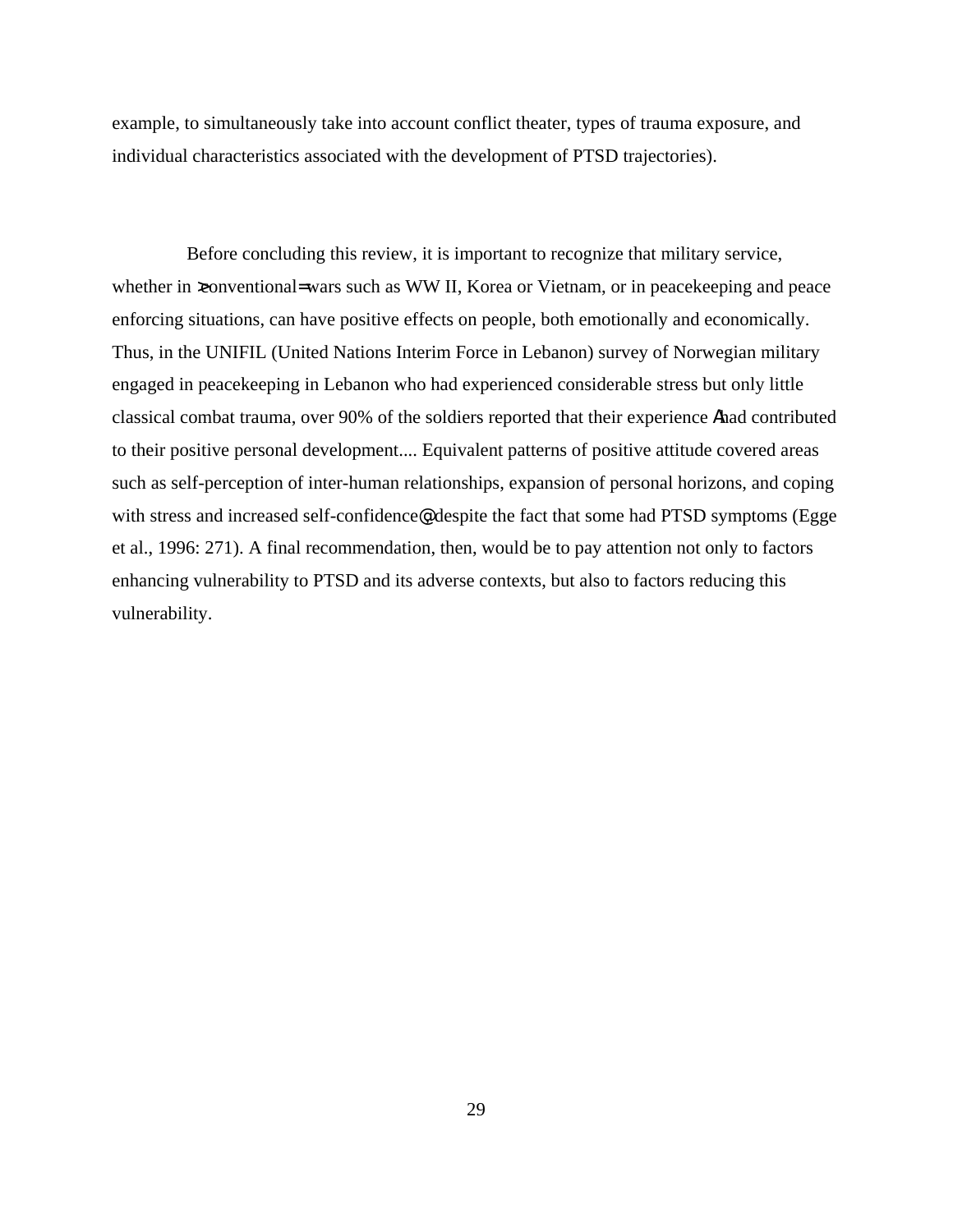example, to simultaneously take into account conflict theater, types of trauma exposure, and individual characteristics associated with the development of PTSD trajectories).

Before concluding this review, it is important to recognize that military service, whether in xonventional= wars such as WW II, Korea or Vietnam, or in peacekeeping and peace enforcing situations, can have positive effects on people, both emotionally and economically. Thus, in the UNIFIL (United Nations Interim Force in Lebanon) survey of Norwegian military engaged in peacekeeping in Lebanon who had experienced considerable stress but only little classical combat trauma, over 90% of the soldiers reported that their experience Ahad contributed to their positive personal development.... Equivalent patterns of positive attitude covered areas such as self-perception of inter-human relationships, expansion of personal horizons, and coping with stress and increased self-confidence®, despite the fact that some had PTSD symptoms (Egge et al., 1996: 271). A final recommendation, then, would be to pay attention not only to factors enhancing vulnerability to PTSD and its adverse contexts, but also to factors reducing this vulnerability.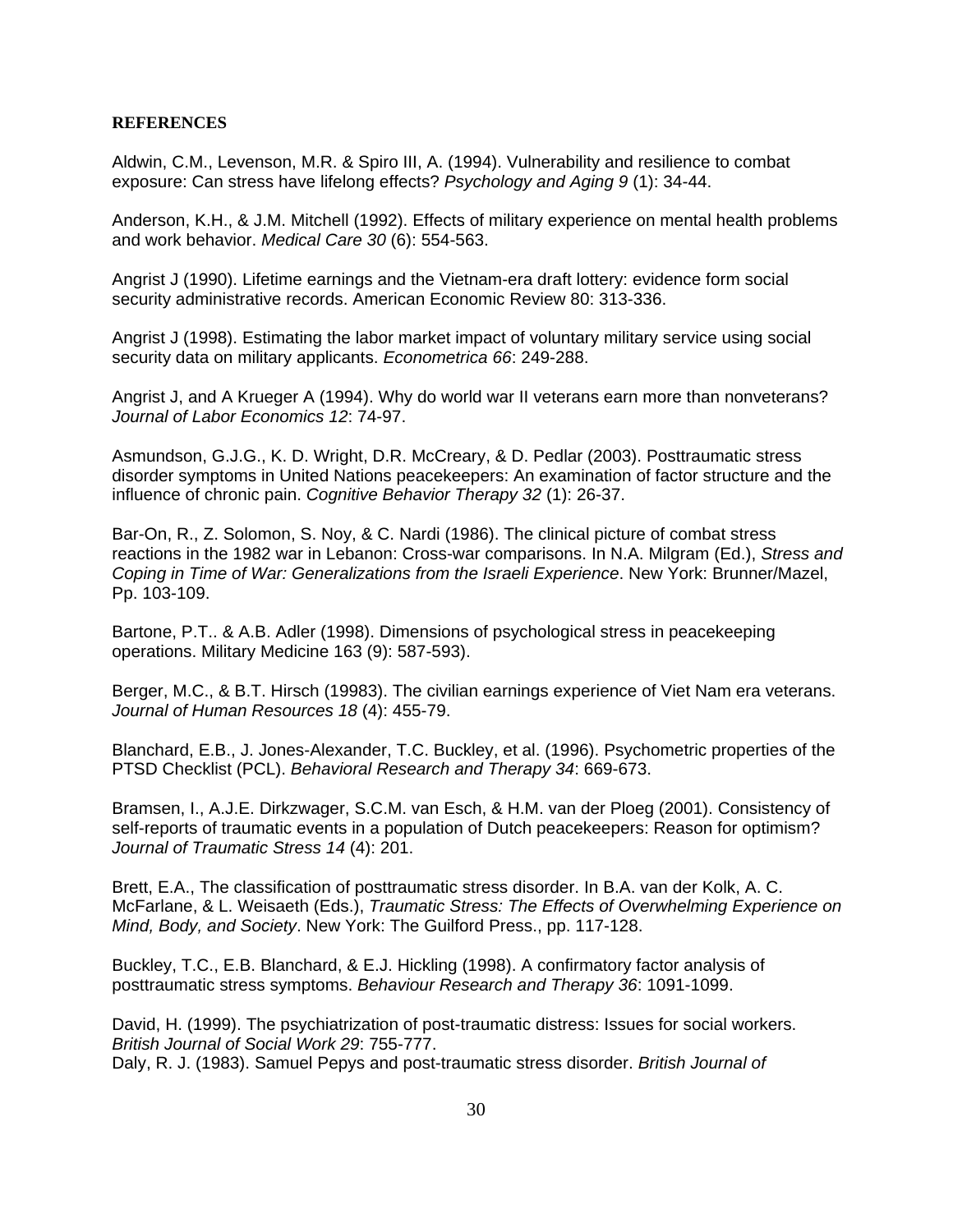#### **REFERENCES**

Aldwin, C.M., Levenson, M.R. & Spiro III, A. (1994). Vulnerability and resilience to combat exposure: Can stress have lifelong effects? *Psychology and Aging 9* (1): 34-44.

Anderson, K.H., & J.M. Mitchell (1992). Effects of military experience on mental health problems and work behavior. *Medical Care 30* (6): 554-563.

Angrist J (1990). Lifetime earnings and the Vietnam-era draft lottery: evidence form social security administrative records. American Economic Review 80: 313-336.

Angrist J (1998). Estimating the labor market impact of voluntary military service using social security data on military applicants. *Econometrica 66*: 249-288.

Angrist J, and A Krueger A (1994). Why do world war II veterans earn more than nonveterans? *Journal of Labor Economics 12*: 74-97.

Asmundson, G.J.G., K. D. Wright, D.R. McCreary, & D. Pedlar (2003). Posttraumatic stress disorder symptoms in United Nations peacekeepers: An examination of factor structure and the influence of chronic pain. *Cognitive Behavior Therapy 32* (1): 26-37.

Bar-On, R., Z. Solomon, S. Noy, & C. Nardi (1986). The clinical picture of combat stress reactions in the 1982 war in Lebanon: Cross-war comparisons. In N.A. Milgram (Ed.), *Stress and Coping in Time of War: Generalizations from the Israeli Experience*. New York: Brunner/Mazel, Pp. 103-109.

Bartone, P.T.. & A.B. Adler (1998). Dimensions of psychological stress in peacekeeping operations. Military Medicine 163 (9): 587-593).

Berger, M.C., & B.T. Hirsch (19983). The civilian earnings experience of Viet Nam era veterans. *Journal of Human Resources 18* (4): 455-79.

Blanchard, E.B., J. Jones-Alexander, T.C. Buckley, et al. (1996). Psychometric properties of the PTSD Checklist (PCL). *Behavioral Research and Therapy 34*: 669-673.

Bramsen, I., A.J.E. Dirkzwager, S.C.M. van Esch, & H.M. van der Ploeg (2001). Consistency of self-reports of traumatic events in a population of Dutch peacekeepers: Reason for optimism? *Journal of Traumatic Stress 14* (4): 201.

Brett, E.A., The classification of posttraumatic stress disorder. In B.A. van der Kolk, A. C. McFarlane, & L. Weisaeth (Eds.), *Traumatic Stress: The Effects of Overwhelming Experience on Mind, Body, and Society*. New York: The Guilford Press., pp. 117-128.

Buckley, T.C., E.B. Blanchard, & E.J. Hickling (1998). A confirmatory factor analysis of posttraumatic stress symptoms. *Behaviour Research and Therapy 36*: 1091-1099.

David, H. (1999). The psychiatrization of post-traumatic distress: Issues for social workers. *British Journal of Social Work 29*: 755-777.

Daly, R. J. (1983). Samuel Pepys and post-traumatic stress disorder. *British Journal of*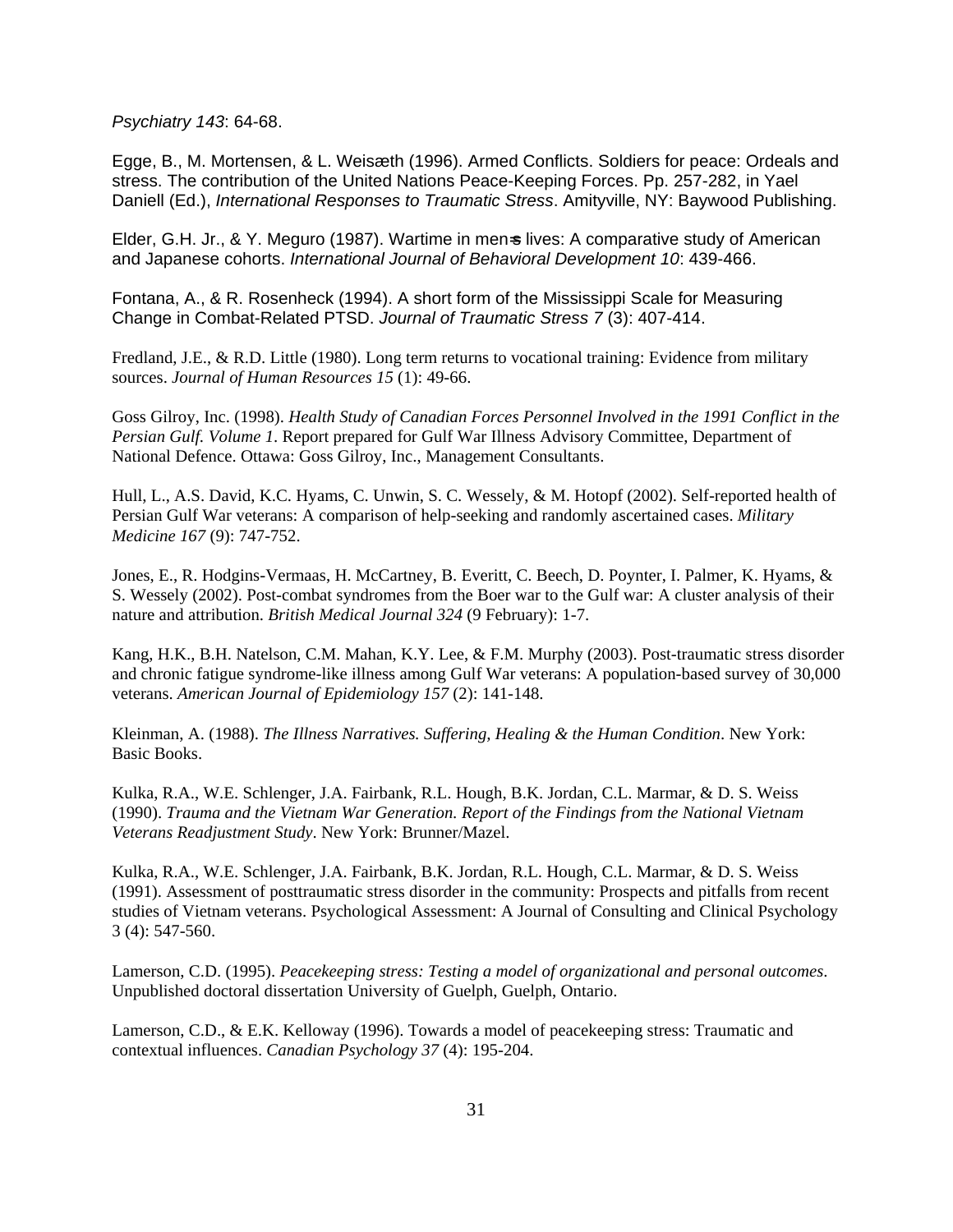*Psychiatry 143*: 64-68.

Egge, B., M. Mortensen, & L. Weisæth (1996). Armed Conflicts. Soldiers for peace: Ordeals and stress. The contribution of the United Nations Peace-Keeping Forces. Pp. 257-282, in Yael Daniell (Ed.), *International Responses to Traumatic Stress*. Amityville, NY: Baywood Publishing.

Elder, G.H. Jr., & Y. Meguro (1987). Wartime in men-s lives: A comparative study of American and Japanese cohorts. *International Journal of Behavioral Development 10*: 439-466.

Fontana, A., & R. Rosenheck (1994). A short form of the Mississippi Scale for Measuring Change in Combat-Related PTSD. *Journal of Traumatic Stress 7* (3): 407-414.

Fredland, J.E., & R.D. Little (1980). Long term returns to vocational training: Evidence from military sources. *Journal of Human Resources 15* (1): 49-66.

Goss Gilroy, Inc. (1998). *Health Study of Canadian Forces Personnel Involved in the 1991 Conflict in the Persian Gulf. Volume 1*. Report prepared for Gulf War Illness Advisory Committee, Department of National Defence. Ottawa: Goss Gilroy, Inc., Management Consultants.

Hull, L., A.S. David, K.C. Hyams, C. Unwin, S. C. Wessely, & M. Hotopf (2002). Self-reported health of Persian Gulf War veterans: A comparison of help-seeking and randomly ascertained cases. *Military Medicine 167* (9): 747-752.

Jones, E., R. Hodgins-Vermaas, H. McCartney, B. Everitt, C. Beech, D. Poynter, I. Palmer, K. Hyams, & S. Wessely (2002). Post-combat syndromes from the Boer war to the Gulf war: A cluster analysis of their nature and attribution. *British Medical Journal 324* (9 February): 1-7.

Kang, H.K., B.H. Natelson, C.M. Mahan, K.Y. Lee, & F.M. Murphy (2003). Post-traumatic stress disorder and chronic fatigue syndrome-like illness among Gulf War veterans: A population-based survey of 30,000 veterans. *American Journal of Epidemiology 157* (2): 141-148.

Kleinman, A. (1988). *The Illness Narratives. Suffering, Healing & the Human Condition*. New York: Basic Books.

Kulka, R.A., W.E. Schlenger, J.A. Fairbank, R.L. Hough, B.K. Jordan, C.L. Marmar, & D. S. Weiss (1990). *Trauma and the Vietnam War Generation. Report of the Findings from the National Vietnam Veterans Readjustment Study*. New York: Brunner/Mazel.

Kulka, R.A., W.E. Schlenger, J.A. Fairbank, B.K. Jordan, R.L. Hough, C.L. Marmar, & D. S. Weiss (1991). Assessment of posttraumatic stress disorder in the community: Prospects and pitfalls from recent studies of Vietnam veterans. Psychological Assessment: A Journal of Consulting and Clinical Psychology 3 (4): 547-560.

Lamerson, C.D. (1995). *Peacekeeping stress: Testing a model of organizational and personal outcomes*. Unpublished doctoral dissertation University of Guelph, Guelph, Ontario.

Lamerson, C.D., & E.K. Kelloway (1996). Towards a model of peacekeeping stress: Traumatic and contextual influences. *Canadian Psychology 37* (4): 195-204.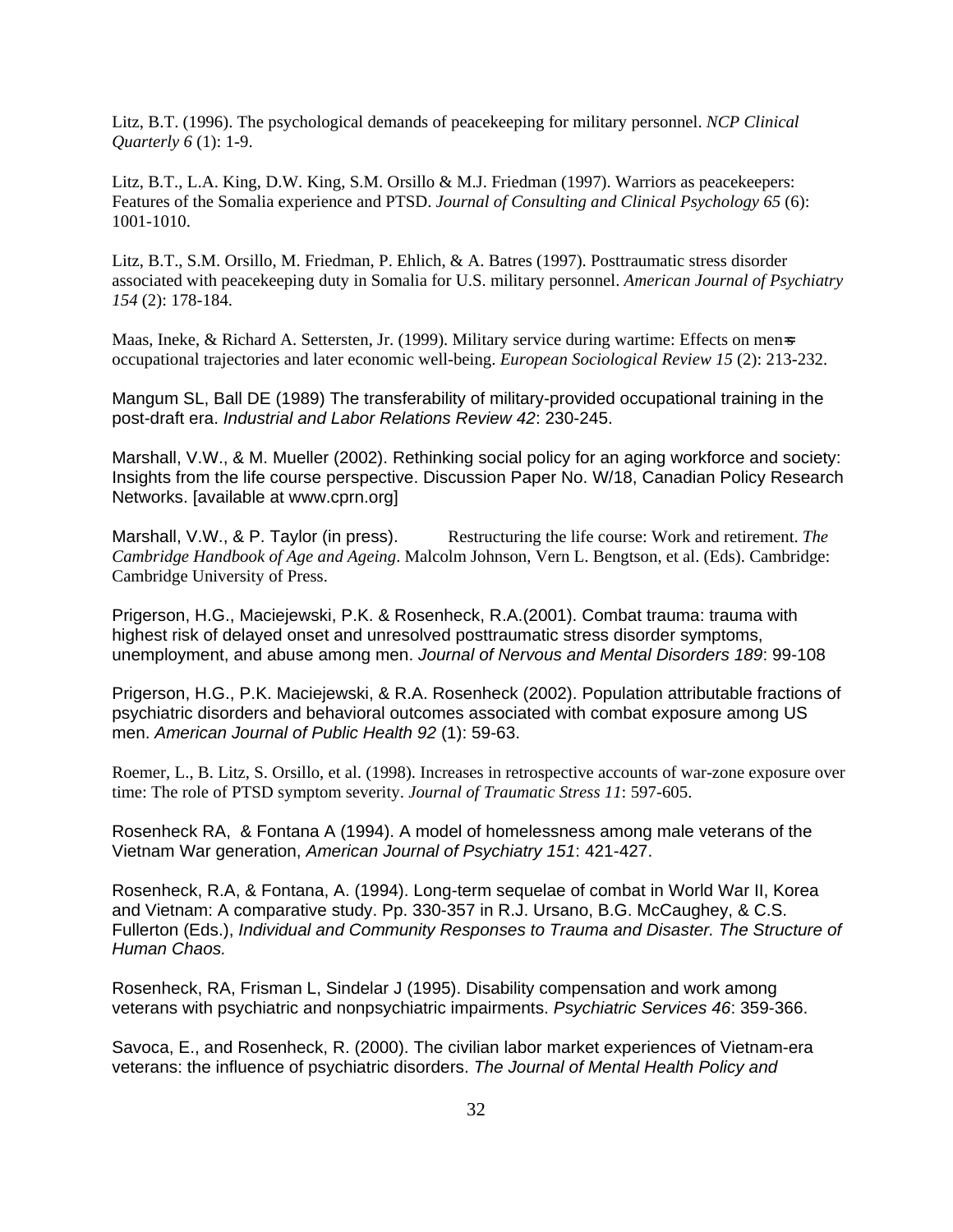Litz, B.T. (1996). The psychological demands of peacekeeping for military personnel. *NCP Clinical Quarterly 6* (1): 1-9.

Litz, B.T., L.A. King, D.W. King, S.M. Orsillo & M.J. Friedman (1997). Warriors as peacekeepers: Features of the Somalia experience and PTSD. *Journal of Consulting and Clinical Psychology 65* (6): 1001-1010.

Litz, B.T., S.M. Orsillo, M. Friedman, P. Ehlich, & A. Batres (1997). Posttraumatic stress disorder associated with peacekeeping duty in Somalia for U.S. military personnel. *American Journal of Psychiatry 154* (2): 178-184.

Maas, Ineke, & Richard A. Settersten, Jr. (1999). Military service during wartime: Effects on men=s occupational trajectories and later economic well-being. *European Sociological Review 15* (2): 213-232.

Mangum SL, Ball DE (1989) The transferability of military-provided occupational training in the post-draft era. *Industrial and Labor Relations Review 42*: 230-245.

Marshall, V.W., & M. Mueller (2002). Rethinking social policy for an aging workforce and society: Insights from the life course perspective. Discussion Paper No. W/18, Canadian Policy Research Networks. [available at www.cprn.org]

Marshall, V.W., & P. Taylor (in press). Restructuring the life course: Work and retirement. *The Cambridge Handbook of Age and Ageing*. Malcolm Johnson, Vern L. Bengtson, et al. (Eds). Cambridge: Cambridge University of Press.

Prigerson, H.G., Maciejewski, P.K. & Rosenheck, R.A.(2001). Combat trauma: trauma with highest risk of delayed onset and unresolved posttraumatic stress disorder symptoms, unemployment, and abuse among men. *Journal of Nervous and Mental Disorders 189*: 99-108

Prigerson, H.G., P.K. Maciejewski, & R.A. Rosenheck (2002). Population attributable fractions of psychiatric disorders and behavioral outcomes associated with combat exposure among US men. *American Journal of Public Health 92* (1): 59-63.

Roemer, L., B. Litz, S. Orsillo, et al. (1998). Increases in retrospective accounts of war-zone exposure over time: The role of PTSD symptom severity. *Journal of Traumatic Stress 11*: 597-605.

Rosenheck RA, & Fontana A (1994). A model of homelessness among male veterans of the Vietnam War generation, *American Journal of Psychiatry 151*: 421-427.

Rosenheck, R.A, & Fontana, A. (1994). Long-term sequelae of combat in World War II, Korea and Vietnam: A comparative study. Pp. 330-357 in R.J. Ursano, B.G. McCaughey, & C.S. Fullerton (Eds.), *Individual and Community Responses to Trauma and Disaster. The Structure of Human Chaos.*

Rosenheck, RA, Frisman L, Sindelar J (1995). Disability compensation and work among veterans with psychiatric and nonpsychiatric impairments. *Psychiatric Services 46*: 359-366.

Savoca, E., and Rosenheck, R. (2000). The civilian labor market experiences of Vietnam-era veterans: the influence of psychiatric disorders. *The Journal of Mental Health Policy and*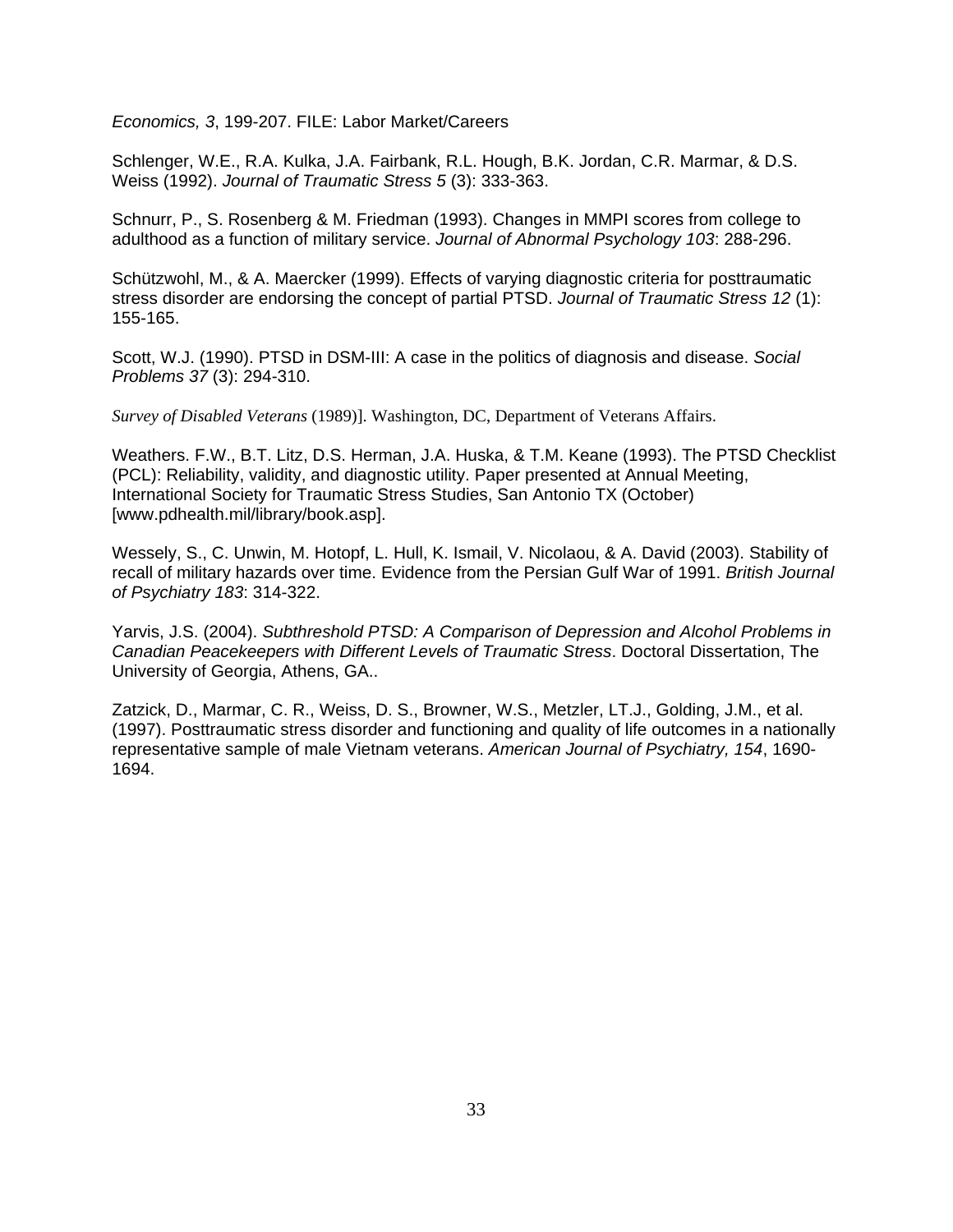*Economics, 3*, 199-207. FILE: Labor Market/Careers

Schlenger, W.E., R.A. Kulka, J.A. Fairbank, R.L. Hough, B.K. Jordan, C.R. Marmar, & D.S. Weiss (1992). *Journal of Traumatic Stress 5* (3): 333-363.

Schnurr, P., S. Rosenberg & M. Friedman (1993). Changes in MMPI scores from college to adulthood as a function of military service. *Journal of Abnormal Psychology 103*: 288-296.

Schützwohl, M., & A. Maercker (1999). Effects of varying diagnostic criteria for posttraumatic stress disorder are endorsing the concept of partial PTSD. *Journal of Traumatic Stress 12* (1): 155-165.

Scott, W.J. (1990). PTSD in DSM-III: A case in the politics of diagnosis and disease. *Social Problems 37* (3): 294-310.

*Survey of Disabled Veterans* (1989)]. Washington, DC, Department of Veterans Affairs.

Weathers. F.W., B.T. Litz, D.S. Herman, J.A. Huska, & T.M. Keane (1993). The PTSD Checklist (PCL): Reliability, validity, and diagnostic utility. Paper presented at Annual Meeting, International Society for Traumatic Stress Studies, San Antonio TX (October) [www.pdhealth.mil/library/book.asp].

Wessely, S., C. Unwin, M. Hotopf, L. Hull, K. Ismail, V. Nicolaou, & A. David (2003). Stability of recall of military hazards over time. Evidence from the Persian Gulf War of 1991. *British Journal of Psychiatry 183*: 314-322.

Yarvis, J.S. (2004). *Subthreshold PTSD: A Comparison of Depression and Alcohol Problems in Canadian Peacekeepers with Different Levels of Traumatic Stress*. Doctoral Dissertation, The University of Georgia, Athens, GA..

Zatzick, D., Marmar, C. R., Weiss, D. S., Browner, W.S., Metzler, LT.J., Golding, J.M., et al. (1997). Posttraumatic stress disorder and functioning and quality of life outcomes in a nationally representative sample of male Vietnam veterans. *American Journal of Psychiatry, 154*, 1690- 1694.